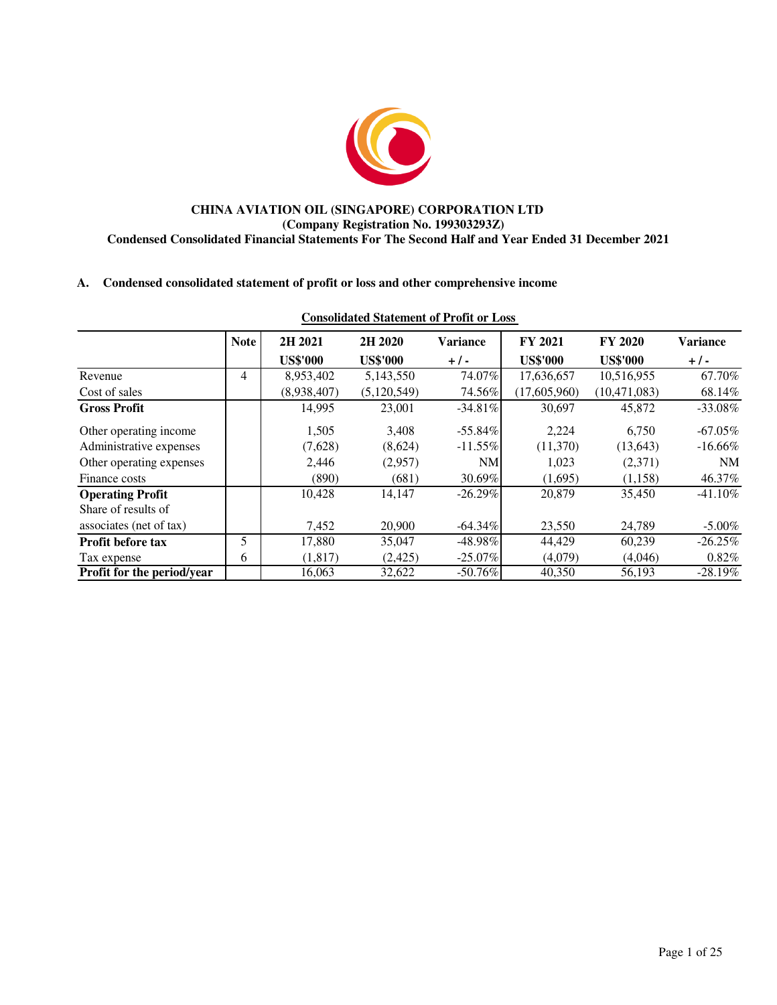

### **CHINA AVIATION OIL (SINGAPORE) CORPORATION LTD (Company Registration No. 199303293Z) Condensed Consolidated Financial Statements For The Second Half and Year Ended 31 December 2021**

### **A. Condensed consolidated statement of profit or loss and other comprehensive income**

|                            | <b>Note</b> | 2H 2021         | 2H 2020         | <b>Variance</b> | FY 2021         | <b>FY 2020</b>  | <b>Variance</b> |
|----------------------------|-------------|-----------------|-----------------|-----------------|-----------------|-----------------|-----------------|
|                            |             | <b>US\$'000</b> | <b>US\$'000</b> | $+/-$           | <b>US\$'000</b> | <b>US\$'000</b> | $+/-$           |
| Revenue                    | 4           | 8,953,402       | 5,143,550       | 74.07%          | 17,636,657      | 10,516,955      | 67.70%          |
| Cost of sales              |             | (8,938,407)     | (5, 120, 549)   | 74.56%          | (17,605,960)    | (10, 471, 083)  | 68.14%          |
| <b>Gross Profit</b>        |             | 14,995          | 23,001          | $-34.81\%$      | 30,697          | 45,872          | $-33.08%$       |
| Other operating income     |             | 1.505           | 3.408           | $-55.84%$       | 2.224           | 6.750           | $-67.05\%$      |
| Administrative expenses    |             | (7,628)         | (8,624)         | $-11.55\%$      | (11,370)        | (13, 643)       | $-16.66\%$      |
| Other operating expenses   |             | 2,446           | (2,957)         | NM              | 1,023           | (2,371)         | NM              |
| Finance costs              |             | (890)           | (681)           | 30.69%          | (1,695)         | (1,158)         | 46.37%          |
| <b>Operating Profit</b>    |             | 10,428          | 14,147          | $-26.29%$       | 20,879          | 35,450          | $-41.10%$       |
| Share of results of        |             |                 |                 |                 |                 |                 |                 |
| associates (net of tax)    |             | 7,452           | 20,900          | $-64.34\%$      | 23,550          | 24,789          | $-5.00\%$       |
| <b>Profit before tax</b>   | 5           | 17,880          | 35,047          | $-48.98\%$      | 44,429          | 60,239          | $-26.25%$       |
| Tax expense                | 6           | (1,817)         | (2, 425)        | $-25.07\%$      | (4,079)         | (4,046)         | $0.82\%$        |
| Profit for the period/year |             | 16,063          | 32,622          | $-50.76%$       | 40,350          | 56,193          | $-28.19\%$      |

## **Consolidated Statement of Profit or Loss**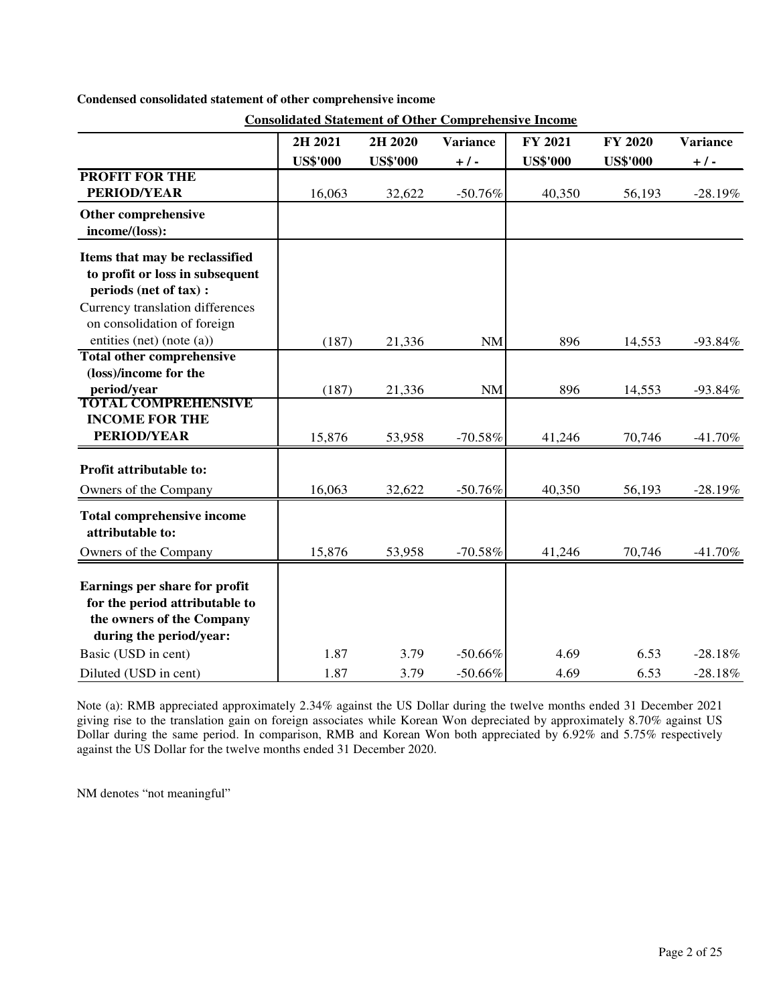|  |  | Condensed consolidated statement of other comprehensive income |
|--|--|----------------------------------------------------------------|
|  |  |                                                                |

|                                                                                                                                 | 2H 2021         | 2H 2020         | <b>Variance</b> | FY 2021         | <b>FY 2020</b>  | <b>Variance</b> |
|---------------------------------------------------------------------------------------------------------------------------------|-----------------|-----------------|-----------------|-----------------|-----------------|-----------------|
|                                                                                                                                 | <b>US\$'000</b> | <b>US\$'000</b> | $+/-$           | <b>US\$'000</b> | <b>US\$'000</b> | $+$ / -         |
| <b>PROFIT FOR THE</b>                                                                                                           |                 |                 |                 |                 |                 |                 |
| <b>PERIOD/YEAR</b>                                                                                                              | 16,063          | 32,622          | $-50.76%$       | 40,350          | 56,193          | $-28.19%$       |
| Other comprehensive<br>income/(loss):                                                                                           |                 |                 |                 |                 |                 |                 |
| Items that may be reclassified<br>to profit or loss in subsequent<br>periods (net of tax) :<br>Currency translation differences |                 |                 |                 |                 |                 |                 |
| on consolidation of foreign                                                                                                     |                 |                 |                 |                 |                 |                 |
| entities (net) (note (a))                                                                                                       | (187)           | 21,336          | <b>NM</b>       | 896             | 14,553          | $-93.84%$       |
| <b>Total other comprehensive</b><br>(loss)/income for the                                                                       |                 |                 |                 | 896             |                 |                 |
| period/year<br><b>TOTAL COMPREHENSIVE</b>                                                                                       | (187)           | 21,336          | <b>NM</b>       |                 | 14,553          | $-93.84%$       |
| <b>INCOME FOR THE</b><br><b>PERIOD/YEAR</b>                                                                                     | 15,876          | 53,958          | $-70.58%$       | 41,246          | 70,746          | $-41.70%$       |
| Profit attributable to:                                                                                                         |                 |                 |                 |                 |                 |                 |
| Owners of the Company                                                                                                           | 16,063          | 32,622          | $-50.76%$       | 40,350          | 56,193          | $-28.19%$       |
| <b>Total comprehensive income</b><br>attributable to:                                                                           |                 |                 |                 |                 |                 |                 |
| Owners of the Company                                                                                                           | 15,876          | 53,958          | $-70.58%$       | 41,246          | 70,746          | $-41.70%$       |
| Earnings per share for profit<br>for the period attributable to<br>the owners of the Company<br>during the period/year:         |                 |                 |                 |                 |                 |                 |
| Basic (USD in cent)                                                                                                             | 1.87            | 3.79            | $-50.66%$       | 4.69            | 6.53            | $-28.18%$       |
| Diluted (USD in cent)                                                                                                           | 1.87            | 3.79            | $-50.66%$       | 4.69            | 6.53            | $-28.18%$       |

**Consolidated Statement of Other Comprehensive Income**

Note (a): RMB appreciated approximately 2.34% against the US Dollar during the twelve months ended 31 December 2021 giving rise to the translation gain on foreign associates while Korean Won depreciated by approximately 8.70% against US Dollar during the same period. In comparison, RMB and Korean Won both appreciated by 6.92% and 5.75% respectively against the US Dollar for the twelve months ended 31 December 2020.

NM denotes "not meaningful"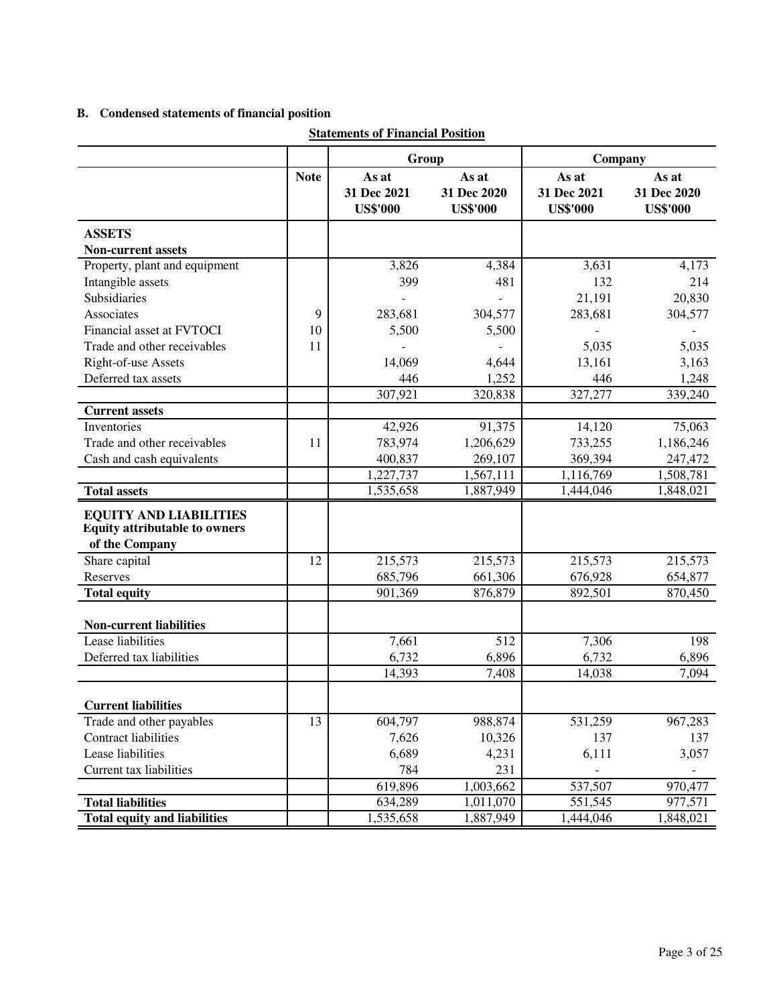# **B. Condensed statements of financial position**

|                                                                                         |             | этатения от г піанетат і озніон         |                                         |                                         |                                         |  |
|-----------------------------------------------------------------------------------------|-------------|-----------------------------------------|-----------------------------------------|-----------------------------------------|-----------------------------------------|--|
|                                                                                         |             | Group                                   |                                         | Company                                 |                                         |  |
|                                                                                         | <b>Note</b> | As at<br>31 Dec 2021<br><b>US\$'000</b> | As at<br>31 Dec 2020<br><b>US\$'000</b> | As at<br>31 Dec 2021<br><b>US\$'000</b> | As at<br>31 Dec 2020<br><b>US\$'000</b> |  |
| <b>ASSETS</b>                                                                           |             |                                         |                                         |                                         |                                         |  |
| Non-current assets                                                                      |             |                                         |                                         |                                         |                                         |  |
| Property, plant and equipment                                                           |             | 3,826                                   | 4,384                                   | 3,631                                   | 4,173                                   |  |
| Intangible assets                                                                       |             | 399                                     | 481                                     | 132                                     | 214                                     |  |
| Subsidiaries                                                                            |             |                                         |                                         | 21,191                                  | 20,830                                  |  |
| Associates                                                                              | 9           | 283,681                                 | 304,577                                 | 283,681                                 | 304,577                                 |  |
| Financial asset at FVTOCI                                                               | 10          | 5,500                                   | 5,500                                   |                                         |                                         |  |
| Trade and other receivables                                                             | 11          |                                         |                                         | 5,035                                   | 5,035                                   |  |
| Right-of-use Assets                                                                     |             | 14,069                                  | 4,644                                   | 13,161                                  | 3,163                                   |  |
| Deferred tax assets                                                                     |             | 446                                     | 1,252                                   | 446                                     | 1,248                                   |  |
|                                                                                         |             | 307,921                                 | 320,838                                 | 327,277                                 | 339,240                                 |  |
| <b>Current assets</b>                                                                   |             |                                         |                                         |                                         |                                         |  |
| Inventories                                                                             |             | 42,926                                  | 91,375                                  | 14,120                                  | 75,063                                  |  |
| Trade and other receivables                                                             | 11          | 783,974                                 | 1,206,629                               | 733,255                                 | 1,186,246                               |  |
| Cash and cash equivalents                                                               |             | 400,837                                 | 269,107                                 | 369,394                                 | 247,472                                 |  |
|                                                                                         |             | 1,227,737                               | 1,567,111                               | 1,116,769                               | 1,508,781                               |  |
| <b>Total assets</b>                                                                     |             | 1,535,658                               | 1,887,949                               | 1,444,046                               | 1,848,021                               |  |
| <b>EQUITY AND LIABILITIES</b><br><b>Equity attributable to owners</b><br>of the Company |             |                                         |                                         |                                         |                                         |  |
| Share capital                                                                           | 12          | 215,573                                 | 215,573                                 | 215,573                                 | 215,573                                 |  |
| Reserves                                                                                |             | 685,796                                 | 661,306                                 | 676,928                                 | 654,877                                 |  |
| <b>Total equity</b>                                                                     |             | 901,369                                 | 876,879                                 | 892,501                                 | 870,450                                 |  |
| <b>Non-current liabilities</b>                                                          |             |                                         |                                         |                                         |                                         |  |
| Lease liabilities                                                                       |             | 7,661                                   | 512                                     | 7,306                                   | 198                                     |  |
| Deferred tax liabilities                                                                |             | 6,732                                   | 6,896                                   | 6,732                                   | 6,896                                   |  |
|                                                                                         |             | 14,393                                  | 7,408                                   | 14,038                                  | 7,094                                   |  |
| <b>Current liabilities</b>                                                              |             |                                         |                                         |                                         |                                         |  |
| Trade and other payables                                                                | 13          | 604,797                                 | 988,874                                 | 531,259                                 | 967,283                                 |  |
| <b>Contract liabilities</b>                                                             |             | 7,626                                   | 10,326                                  | 137                                     | 137                                     |  |
| Lease liabilities                                                                       |             | 6,689                                   | 4,231                                   | 6,111                                   | 3,057                                   |  |
| Current tax liabilities                                                                 |             | 784                                     | 231                                     |                                         |                                         |  |
|                                                                                         |             | 619,896                                 | 1,003,662                               | 537,507                                 | 970,477                                 |  |
| <b>Total liabilities</b>                                                                |             | 634,289                                 | 1,011,070                               | 551,545                                 | 977,571                                 |  |
| <b>Total equity and liabilities</b>                                                     |             | 1,535,658                               | 1,887,949                               | 1,444,046                               | 1,848,021                               |  |

## **Statements of Financial Position**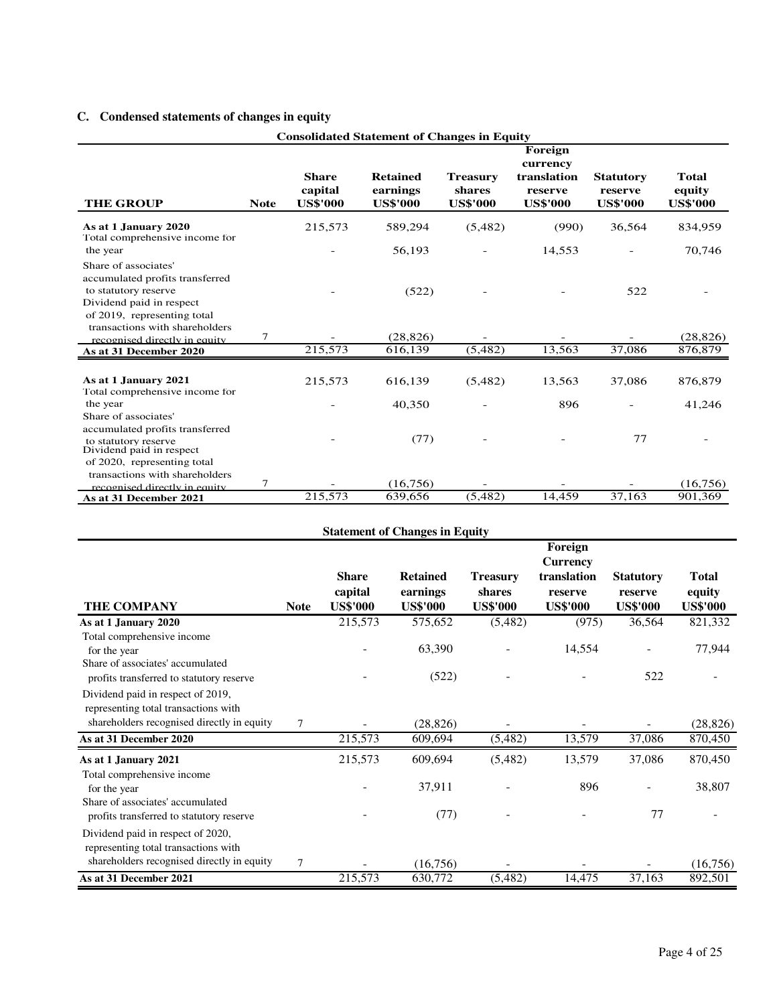# **C. Condensed statements of changes in equity**

| <b>Consolidated Statement of Changes in Equity</b>                                                                                         |                |                                            |                                                |                                              |                                                                  |                                                |                                           |  |
|--------------------------------------------------------------------------------------------------------------------------------------------|----------------|--------------------------------------------|------------------------------------------------|----------------------------------------------|------------------------------------------------------------------|------------------------------------------------|-------------------------------------------|--|
| <b>THE GROUP</b>                                                                                                                           | <b>Note</b>    | <b>Share</b><br>capital<br><b>US\$'000</b> | <b>Retained</b><br>earnings<br><b>US\$'000</b> | <b>Treasury</b><br>shares<br><b>US\$'000</b> | Foreign<br>currency<br>translation<br>reserve<br><b>US\$'000</b> | <b>Statutory</b><br>reserve<br><b>US\$'000</b> | <b>Total</b><br>equity<br><b>US\$'000</b> |  |
| As at 1 January 2020<br>Total comprehensive income for                                                                                     |                | 215,573                                    | 589,294                                        | (5,482)                                      | (990)                                                            | 36,564                                         | 834,959                                   |  |
| the year                                                                                                                                   |                |                                            | 56,193                                         |                                              | 14,553                                                           |                                                | 70,746                                    |  |
| Share of associates'<br>accumulated profits transferred<br>to statutory reserve<br>Dividend paid in respect<br>of 2019, representing total |                |                                            | (522)                                          |                                              |                                                                  | 522                                            |                                           |  |
| transactions with shareholders<br>recognised directly in equity                                                                            | $\tau$         |                                            | (28, 826)                                      |                                              |                                                                  |                                                | (28, 826)                                 |  |
| As at 31 December 2020                                                                                                                     |                | 215,573                                    | 616,139                                        | (5, 482)                                     | 13,563                                                           | 37,086                                         | 876,879                                   |  |
| As at 1 January 2021<br>Total comprehensive income for                                                                                     |                | 215,573                                    | 616,139                                        | (5,482)                                      | 13,563                                                           | 37,086                                         | 876,879                                   |  |
| the year                                                                                                                                   |                |                                            | 40,350                                         |                                              | 896                                                              |                                                | 41,246                                    |  |
| Share of associates'<br>accumulated profits transferred<br>to statutory reserve<br>Dividend paid in respect<br>of 2020, representing total |                |                                            | (77)                                           |                                              |                                                                  | 77                                             |                                           |  |
| transactions with shareholders                                                                                                             | $\overline{7}$ |                                            | (16,756)                                       |                                              |                                                                  |                                                | (16,756)                                  |  |
| recognised directly in equity<br>As at 31 December 2021                                                                                    |                | 215,573                                    | 639,656                                        | (5, 482)                                     | 14,459                                                           | 37,163                                         | 901,369                                   |  |

|                                                                                                                            |             |                                            | <b>Statement of Changes in Equity</b>          |                                              |                                                              |                                                |                                           |
|----------------------------------------------------------------------------------------------------------------------------|-------------|--------------------------------------------|------------------------------------------------|----------------------------------------------|--------------------------------------------------------------|------------------------------------------------|-------------------------------------------|
|                                                                                                                            |             |                                            |                                                |                                              | Foreign                                                      |                                                |                                           |
| <b>THE COMPANY</b>                                                                                                         | <b>Note</b> | <b>Share</b><br>capital<br><b>US\$'000</b> | <b>Retained</b><br>earnings<br><b>US\$'000</b> | <b>Treasury</b><br>shares<br><b>US\$'000</b> | <b>Currency</b><br>translation<br>reserve<br><b>US\$'000</b> | <b>Statutory</b><br>reserve<br><b>US\$'000</b> | <b>Total</b><br>equity<br><b>US\$'000</b> |
| As at 1 January 2020                                                                                                       |             | 215,573                                    | 575,652                                        | (5,482)                                      | (975)                                                        | 36,564                                         | 821,332                                   |
| Total comprehensive income<br>for the year<br>Share of associates' accumulated<br>profits transferred to statutory reserve |             |                                            | 63,390<br>(522)                                |                                              | 14,554                                                       | 522                                            | 77,944                                    |
| Dividend paid in respect of 2019,<br>representing total transactions with<br>shareholders recognised directly in equity    | 7           |                                            | (28, 826)                                      |                                              |                                                              |                                                | (28, 826)                                 |
| As at 31 December 2020                                                                                                     |             | 215,573                                    | 609,694                                        | (5,482)                                      | 13,579                                                       | 37,086                                         | 870,450                                   |
| As at 1 January 2021<br>Total comprehensive income<br>for the year                                                         |             | 215,573                                    | 609,694<br>37,911                              | (5,482)                                      | 13,579<br>896                                                | 37,086                                         | 870,450<br>38,807                         |
| Share of associates' accumulated<br>profits transferred to statutory reserve                                               |             |                                            | (77)                                           |                                              |                                                              | 77                                             |                                           |
| Dividend paid in respect of 2020,<br>representing total transactions with<br>shareholders recognised directly in equity    | 7           |                                            | (16,756)                                       |                                              |                                                              |                                                | (16,756)                                  |
| As at 31 December 2021                                                                                                     |             | 215,573                                    | 630,772                                        | (5,482)                                      | 14,475                                                       | 37,163                                         | 892,501                                   |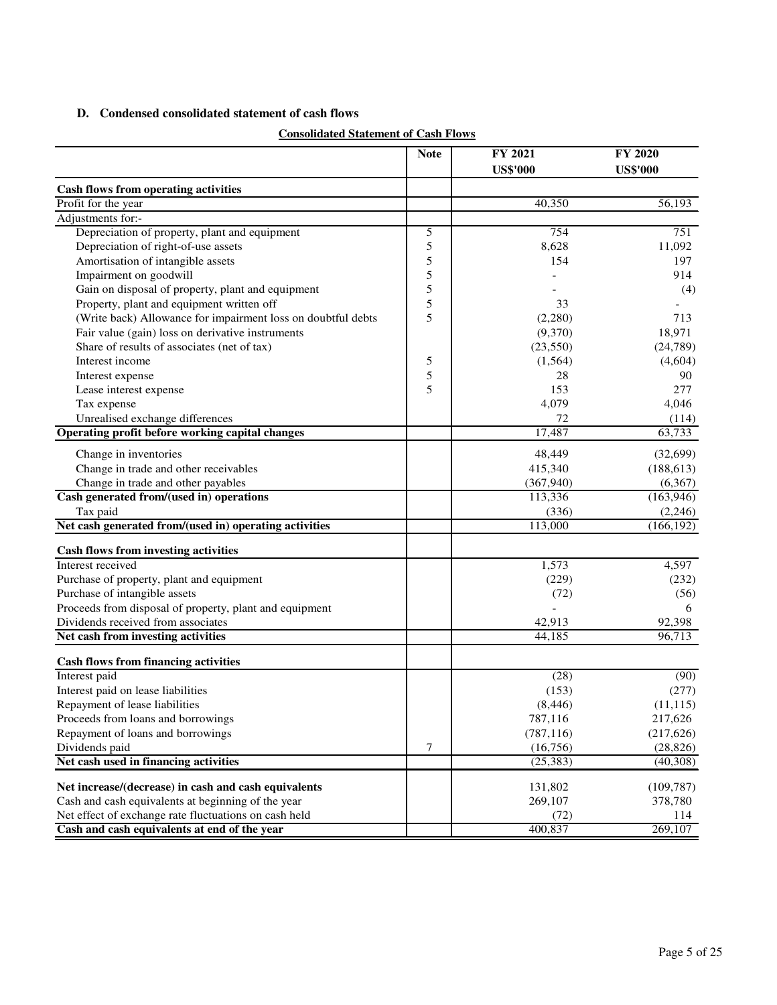## **D. Condensed consolidated statement of cash flows**

| <b>Consolidated Statement of Cash Flows</b> |  |  |
|---------------------------------------------|--|--|
|                                             |  |  |

| <b>Cash flows from operating activities</b><br>Profit for the year<br>40,350<br>56,193<br>Adjustments for:-<br>Depreciation of property, plant and equipment<br>754<br>751<br>5<br>5<br>Depreciation of right-of-use assets<br>8,628<br>11,092<br>Amortisation of intangible assets<br>5<br>154<br>197<br>Impairment on goodwill<br>5<br>914<br>5<br>Gain on disposal of property, plant and equipment<br>(4)<br>5<br>Property, plant and equipment written off<br>33<br>5<br>(Write back) Allowance for impairment loss on doubtful debts<br>713<br>(2,280)<br>Fair value (gain) loss on derivative instruments<br>(9,370)<br>18,971<br>Share of results of associates (net of tax)<br>(23, 550)<br>(24, 789)<br>Interest income<br>5<br>(1, 564)<br>(4,604)<br>5<br>28<br>90<br>Interest expense<br>5<br>153<br>277<br>Lease interest expense<br>4,079<br>Tax expense<br>4,046<br>Unrealised exchange differences<br>72<br>(114)<br>Operating profit before working capital changes<br>17,487<br>63,733<br>Change in inventories<br>48,449<br>(32,699)<br>Change in trade and other receivables<br>415,340<br>(188, 613)<br>Change in trade and other payables<br>(367, 940)<br>(6,367)<br>Cash generated from/(used in) operations<br>(163, 946)<br>113,336<br>Tax paid<br>(336)<br>(2, 246)<br>Net cash generated from/(used in) operating activities<br>113,000<br>(166, 192)<br>Cash flows from investing activities<br>Interest received<br>1,573<br>4,597<br>Purchase of property, plant and equipment<br>(229)<br>(232)<br>Purchase of intangible assets<br>(72)<br>(56)<br>Proceeds from disposal of property, plant and equipment<br>6<br>Dividends received from associates<br>42,913<br>92,398<br>Net cash from investing activities<br>44,185<br>96,713<br><b>Cash flows from financing activities</b><br>Interest paid<br>(28)<br>(90)<br>Interest paid on lease liabilities<br>(153)<br>(277)<br>Repayment of lease liabilities<br>(8, 446)<br>(11, 115)<br>Proceeds from loans and borrowings<br>787,116<br>217,626<br>(787, 116)<br>(217, 626)<br>Repayment of loans and borrowings<br>Dividends paid<br>7<br>(16,756)<br>(28, 826)<br>Net cash used in financing activities<br>(25, 383)<br>(40, 308)<br>Net increase/(decrease) in cash and cash equivalents<br>131,802<br>(109, 787)<br>Cash and cash equivalents at beginning of the year<br>269,107<br>378,780<br>Net effect of exchange rate fluctuations on cash held<br>114<br>(72) |                                              | <b>Note</b> | FY 2021<br><b>US\$'000</b> | FY 2020<br><b>US\$'000</b> |
|---------------------------------------------------------------------------------------------------------------------------------------------------------------------------------------------------------------------------------------------------------------------------------------------------------------------------------------------------------------------------------------------------------------------------------------------------------------------------------------------------------------------------------------------------------------------------------------------------------------------------------------------------------------------------------------------------------------------------------------------------------------------------------------------------------------------------------------------------------------------------------------------------------------------------------------------------------------------------------------------------------------------------------------------------------------------------------------------------------------------------------------------------------------------------------------------------------------------------------------------------------------------------------------------------------------------------------------------------------------------------------------------------------------------------------------------------------------------------------------------------------------------------------------------------------------------------------------------------------------------------------------------------------------------------------------------------------------------------------------------------------------------------------------------------------------------------------------------------------------------------------------------------------------------------------------------------------------------------------------------------------------------------------------------------------------------------------------------------------------------------------------------------------------------------------------------------------------------------------------------------------------------------------------------------------------------------------------------------------------------------------------------------------------------------------------------------------------|----------------------------------------------|-------------|----------------------------|----------------------------|
|                                                                                                                                                                                                                                                                                                                                                                                                                                                                                                                                                                                                                                                                                                                                                                                                                                                                                                                                                                                                                                                                                                                                                                                                                                                                                                                                                                                                                                                                                                                                                                                                                                                                                                                                                                                                                                                                                                                                                                                                                                                                                                                                                                                                                                                                                                                                                                                                                                                               |                                              |             |                            |                            |
|                                                                                                                                                                                                                                                                                                                                                                                                                                                                                                                                                                                                                                                                                                                                                                                                                                                                                                                                                                                                                                                                                                                                                                                                                                                                                                                                                                                                                                                                                                                                                                                                                                                                                                                                                                                                                                                                                                                                                                                                                                                                                                                                                                                                                                                                                                                                                                                                                                                               |                                              |             |                            |                            |
|                                                                                                                                                                                                                                                                                                                                                                                                                                                                                                                                                                                                                                                                                                                                                                                                                                                                                                                                                                                                                                                                                                                                                                                                                                                                                                                                                                                                                                                                                                                                                                                                                                                                                                                                                                                                                                                                                                                                                                                                                                                                                                                                                                                                                                                                                                                                                                                                                                                               |                                              |             |                            |                            |
|                                                                                                                                                                                                                                                                                                                                                                                                                                                                                                                                                                                                                                                                                                                                                                                                                                                                                                                                                                                                                                                                                                                                                                                                                                                                                                                                                                                                                                                                                                                                                                                                                                                                                                                                                                                                                                                                                                                                                                                                                                                                                                                                                                                                                                                                                                                                                                                                                                                               |                                              |             |                            |                            |
|                                                                                                                                                                                                                                                                                                                                                                                                                                                                                                                                                                                                                                                                                                                                                                                                                                                                                                                                                                                                                                                                                                                                                                                                                                                                                                                                                                                                                                                                                                                                                                                                                                                                                                                                                                                                                                                                                                                                                                                                                                                                                                                                                                                                                                                                                                                                                                                                                                                               |                                              |             |                            |                            |
|                                                                                                                                                                                                                                                                                                                                                                                                                                                                                                                                                                                                                                                                                                                                                                                                                                                                                                                                                                                                                                                                                                                                                                                                                                                                                                                                                                                                                                                                                                                                                                                                                                                                                                                                                                                                                                                                                                                                                                                                                                                                                                                                                                                                                                                                                                                                                                                                                                                               |                                              |             |                            |                            |
|                                                                                                                                                                                                                                                                                                                                                                                                                                                                                                                                                                                                                                                                                                                                                                                                                                                                                                                                                                                                                                                                                                                                                                                                                                                                                                                                                                                                                                                                                                                                                                                                                                                                                                                                                                                                                                                                                                                                                                                                                                                                                                                                                                                                                                                                                                                                                                                                                                                               |                                              |             |                            |                            |
|                                                                                                                                                                                                                                                                                                                                                                                                                                                                                                                                                                                                                                                                                                                                                                                                                                                                                                                                                                                                                                                                                                                                                                                                                                                                                                                                                                                                                                                                                                                                                                                                                                                                                                                                                                                                                                                                                                                                                                                                                                                                                                                                                                                                                                                                                                                                                                                                                                                               |                                              |             |                            |                            |
|                                                                                                                                                                                                                                                                                                                                                                                                                                                                                                                                                                                                                                                                                                                                                                                                                                                                                                                                                                                                                                                                                                                                                                                                                                                                                                                                                                                                                                                                                                                                                                                                                                                                                                                                                                                                                                                                                                                                                                                                                                                                                                                                                                                                                                                                                                                                                                                                                                                               |                                              |             |                            |                            |
|                                                                                                                                                                                                                                                                                                                                                                                                                                                                                                                                                                                                                                                                                                                                                                                                                                                                                                                                                                                                                                                                                                                                                                                                                                                                                                                                                                                                                                                                                                                                                                                                                                                                                                                                                                                                                                                                                                                                                                                                                                                                                                                                                                                                                                                                                                                                                                                                                                                               |                                              |             |                            |                            |
|                                                                                                                                                                                                                                                                                                                                                                                                                                                                                                                                                                                                                                                                                                                                                                                                                                                                                                                                                                                                                                                                                                                                                                                                                                                                                                                                                                                                                                                                                                                                                                                                                                                                                                                                                                                                                                                                                                                                                                                                                                                                                                                                                                                                                                                                                                                                                                                                                                                               |                                              |             |                            |                            |
|                                                                                                                                                                                                                                                                                                                                                                                                                                                                                                                                                                                                                                                                                                                                                                                                                                                                                                                                                                                                                                                                                                                                                                                                                                                                                                                                                                                                                                                                                                                                                                                                                                                                                                                                                                                                                                                                                                                                                                                                                                                                                                                                                                                                                                                                                                                                                                                                                                                               |                                              |             |                            |                            |
|                                                                                                                                                                                                                                                                                                                                                                                                                                                                                                                                                                                                                                                                                                                                                                                                                                                                                                                                                                                                                                                                                                                                                                                                                                                                                                                                                                                                                                                                                                                                                                                                                                                                                                                                                                                                                                                                                                                                                                                                                                                                                                                                                                                                                                                                                                                                                                                                                                                               |                                              |             |                            |                            |
|                                                                                                                                                                                                                                                                                                                                                                                                                                                                                                                                                                                                                                                                                                                                                                                                                                                                                                                                                                                                                                                                                                                                                                                                                                                                                                                                                                                                                                                                                                                                                                                                                                                                                                                                                                                                                                                                                                                                                                                                                                                                                                                                                                                                                                                                                                                                                                                                                                                               |                                              |             |                            |                            |
|                                                                                                                                                                                                                                                                                                                                                                                                                                                                                                                                                                                                                                                                                                                                                                                                                                                                                                                                                                                                                                                                                                                                                                                                                                                                                                                                                                                                                                                                                                                                                                                                                                                                                                                                                                                                                                                                                                                                                                                                                                                                                                                                                                                                                                                                                                                                                                                                                                                               |                                              |             |                            |                            |
|                                                                                                                                                                                                                                                                                                                                                                                                                                                                                                                                                                                                                                                                                                                                                                                                                                                                                                                                                                                                                                                                                                                                                                                                                                                                                                                                                                                                                                                                                                                                                                                                                                                                                                                                                                                                                                                                                                                                                                                                                                                                                                                                                                                                                                                                                                                                                                                                                                                               |                                              |             |                            |                            |
|                                                                                                                                                                                                                                                                                                                                                                                                                                                                                                                                                                                                                                                                                                                                                                                                                                                                                                                                                                                                                                                                                                                                                                                                                                                                                                                                                                                                                                                                                                                                                                                                                                                                                                                                                                                                                                                                                                                                                                                                                                                                                                                                                                                                                                                                                                                                                                                                                                                               |                                              |             |                            |                            |
|                                                                                                                                                                                                                                                                                                                                                                                                                                                                                                                                                                                                                                                                                                                                                                                                                                                                                                                                                                                                                                                                                                                                                                                                                                                                                                                                                                                                                                                                                                                                                                                                                                                                                                                                                                                                                                                                                                                                                                                                                                                                                                                                                                                                                                                                                                                                                                                                                                                               |                                              |             |                            |                            |
|                                                                                                                                                                                                                                                                                                                                                                                                                                                                                                                                                                                                                                                                                                                                                                                                                                                                                                                                                                                                                                                                                                                                                                                                                                                                                                                                                                                                                                                                                                                                                                                                                                                                                                                                                                                                                                                                                                                                                                                                                                                                                                                                                                                                                                                                                                                                                                                                                                                               |                                              |             |                            |                            |
|                                                                                                                                                                                                                                                                                                                                                                                                                                                                                                                                                                                                                                                                                                                                                                                                                                                                                                                                                                                                                                                                                                                                                                                                                                                                                                                                                                                                                                                                                                                                                                                                                                                                                                                                                                                                                                                                                                                                                                                                                                                                                                                                                                                                                                                                                                                                                                                                                                                               |                                              |             |                            |                            |
|                                                                                                                                                                                                                                                                                                                                                                                                                                                                                                                                                                                                                                                                                                                                                                                                                                                                                                                                                                                                                                                                                                                                                                                                                                                                                                                                                                                                                                                                                                                                                                                                                                                                                                                                                                                                                                                                                                                                                                                                                                                                                                                                                                                                                                                                                                                                                                                                                                                               |                                              |             |                            |                            |
|                                                                                                                                                                                                                                                                                                                                                                                                                                                                                                                                                                                                                                                                                                                                                                                                                                                                                                                                                                                                                                                                                                                                                                                                                                                                                                                                                                                                                                                                                                                                                                                                                                                                                                                                                                                                                                                                                                                                                                                                                                                                                                                                                                                                                                                                                                                                                                                                                                                               |                                              |             |                            |                            |
|                                                                                                                                                                                                                                                                                                                                                                                                                                                                                                                                                                                                                                                                                                                                                                                                                                                                                                                                                                                                                                                                                                                                                                                                                                                                                                                                                                                                                                                                                                                                                                                                                                                                                                                                                                                                                                                                                                                                                                                                                                                                                                                                                                                                                                                                                                                                                                                                                                                               |                                              |             |                            |                            |
|                                                                                                                                                                                                                                                                                                                                                                                                                                                                                                                                                                                                                                                                                                                                                                                                                                                                                                                                                                                                                                                                                                                                                                                                                                                                                                                                                                                                                                                                                                                                                                                                                                                                                                                                                                                                                                                                                                                                                                                                                                                                                                                                                                                                                                                                                                                                                                                                                                                               |                                              |             |                            |                            |
|                                                                                                                                                                                                                                                                                                                                                                                                                                                                                                                                                                                                                                                                                                                                                                                                                                                                                                                                                                                                                                                                                                                                                                                                                                                                                                                                                                                                                                                                                                                                                                                                                                                                                                                                                                                                                                                                                                                                                                                                                                                                                                                                                                                                                                                                                                                                                                                                                                                               |                                              |             |                            |                            |
|                                                                                                                                                                                                                                                                                                                                                                                                                                                                                                                                                                                                                                                                                                                                                                                                                                                                                                                                                                                                                                                                                                                                                                                                                                                                                                                                                                                                                                                                                                                                                                                                                                                                                                                                                                                                                                                                                                                                                                                                                                                                                                                                                                                                                                                                                                                                                                                                                                                               |                                              |             |                            |                            |
|                                                                                                                                                                                                                                                                                                                                                                                                                                                                                                                                                                                                                                                                                                                                                                                                                                                                                                                                                                                                                                                                                                                                                                                                                                                                                                                                                                                                                                                                                                                                                                                                                                                                                                                                                                                                                                                                                                                                                                                                                                                                                                                                                                                                                                                                                                                                                                                                                                                               |                                              |             |                            |                            |
|                                                                                                                                                                                                                                                                                                                                                                                                                                                                                                                                                                                                                                                                                                                                                                                                                                                                                                                                                                                                                                                                                                                                                                                                                                                                                                                                                                                                                                                                                                                                                                                                                                                                                                                                                                                                                                                                                                                                                                                                                                                                                                                                                                                                                                                                                                                                                                                                                                                               |                                              |             |                            |                            |
|                                                                                                                                                                                                                                                                                                                                                                                                                                                                                                                                                                                                                                                                                                                                                                                                                                                                                                                                                                                                                                                                                                                                                                                                                                                                                                                                                                                                                                                                                                                                                                                                                                                                                                                                                                                                                                                                                                                                                                                                                                                                                                                                                                                                                                                                                                                                                                                                                                                               |                                              |             |                            |                            |
|                                                                                                                                                                                                                                                                                                                                                                                                                                                                                                                                                                                                                                                                                                                                                                                                                                                                                                                                                                                                                                                                                                                                                                                                                                                                                                                                                                                                                                                                                                                                                                                                                                                                                                                                                                                                                                                                                                                                                                                                                                                                                                                                                                                                                                                                                                                                                                                                                                                               |                                              |             |                            |                            |
|                                                                                                                                                                                                                                                                                                                                                                                                                                                                                                                                                                                                                                                                                                                                                                                                                                                                                                                                                                                                                                                                                                                                                                                                                                                                                                                                                                                                                                                                                                                                                                                                                                                                                                                                                                                                                                                                                                                                                                                                                                                                                                                                                                                                                                                                                                                                                                                                                                                               |                                              |             |                            |                            |
|                                                                                                                                                                                                                                                                                                                                                                                                                                                                                                                                                                                                                                                                                                                                                                                                                                                                                                                                                                                                                                                                                                                                                                                                                                                                                                                                                                                                                                                                                                                                                                                                                                                                                                                                                                                                                                                                                                                                                                                                                                                                                                                                                                                                                                                                                                                                                                                                                                                               |                                              |             |                            |                            |
|                                                                                                                                                                                                                                                                                                                                                                                                                                                                                                                                                                                                                                                                                                                                                                                                                                                                                                                                                                                                                                                                                                                                                                                                                                                                                                                                                                                                                                                                                                                                                                                                                                                                                                                                                                                                                                                                                                                                                                                                                                                                                                                                                                                                                                                                                                                                                                                                                                                               |                                              |             |                            |                            |
|                                                                                                                                                                                                                                                                                                                                                                                                                                                                                                                                                                                                                                                                                                                                                                                                                                                                                                                                                                                                                                                                                                                                                                                                                                                                                                                                                                                                                                                                                                                                                                                                                                                                                                                                                                                                                                                                                                                                                                                                                                                                                                                                                                                                                                                                                                                                                                                                                                                               |                                              |             |                            |                            |
|                                                                                                                                                                                                                                                                                                                                                                                                                                                                                                                                                                                                                                                                                                                                                                                                                                                                                                                                                                                                                                                                                                                                                                                                                                                                                                                                                                                                                                                                                                                                                                                                                                                                                                                                                                                                                                                                                                                                                                                                                                                                                                                                                                                                                                                                                                                                                                                                                                                               |                                              |             |                            |                            |
|                                                                                                                                                                                                                                                                                                                                                                                                                                                                                                                                                                                                                                                                                                                                                                                                                                                                                                                                                                                                                                                                                                                                                                                                                                                                                                                                                                                                                                                                                                                                                                                                                                                                                                                                                                                                                                                                                                                                                                                                                                                                                                                                                                                                                                                                                                                                                                                                                                                               |                                              |             |                            |                            |
|                                                                                                                                                                                                                                                                                                                                                                                                                                                                                                                                                                                                                                                                                                                                                                                                                                                                                                                                                                                                                                                                                                                                                                                                                                                                                                                                                                                                                                                                                                                                                                                                                                                                                                                                                                                                                                                                                                                                                                                                                                                                                                                                                                                                                                                                                                                                                                                                                                                               |                                              |             |                            |                            |
|                                                                                                                                                                                                                                                                                                                                                                                                                                                                                                                                                                                                                                                                                                                                                                                                                                                                                                                                                                                                                                                                                                                                                                                                                                                                                                                                                                                                                                                                                                                                                                                                                                                                                                                                                                                                                                                                                                                                                                                                                                                                                                                                                                                                                                                                                                                                                                                                                                                               |                                              |             |                            |                            |
|                                                                                                                                                                                                                                                                                                                                                                                                                                                                                                                                                                                                                                                                                                                                                                                                                                                                                                                                                                                                                                                                                                                                                                                                                                                                                                                                                                                                                                                                                                                                                                                                                                                                                                                                                                                                                                                                                                                                                                                                                                                                                                                                                                                                                                                                                                                                                                                                                                                               |                                              |             |                            |                            |
|                                                                                                                                                                                                                                                                                                                                                                                                                                                                                                                                                                                                                                                                                                                                                                                                                                                                                                                                                                                                                                                                                                                                                                                                                                                                                                                                                                                                                                                                                                                                                                                                                                                                                                                                                                                                                                                                                                                                                                                                                                                                                                                                                                                                                                                                                                                                                                                                                                                               |                                              |             |                            |                            |
|                                                                                                                                                                                                                                                                                                                                                                                                                                                                                                                                                                                                                                                                                                                                                                                                                                                                                                                                                                                                                                                                                                                                                                                                                                                                                                                                                                                                                                                                                                                                                                                                                                                                                                                                                                                                                                                                                                                                                                                                                                                                                                                                                                                                                                                                                                                                                                                                                                                               |                                              |             |                            |                            |
|                                                                                                                                                                                                                                                                                                                                                                                                                                                                                                                                                                                                                                                                                                                                                                                                                                                                                                                                                                                                                                                                                                                                                                                                                                                                                                                                                                                                                                                                                                                                                                                                                                                                                                                                                                                                                                                                                                                                                                                                                                                                                                                                                                                                                                                                                                                                                                                                                                                               |                                              |             |                            |                            |
|                                                                                                                                                                                                                                                                                                                                                                                                                                                                                                                                                                                                                                                                                                                                                                                                                                                                                                                                                                                                                                                                                                                                                                                                                                                                                                                                                                                                                                                                                                                                                                                                                                                                                                                                                                                                                                                                                                                                                                                                                                                                                                                                                                                                                                                                                                                                                                                                                                                               |                                              |             |                            |                            |
|                                                                                                                                                                                                                                                                                                                                                                                                                                                                                                                                                                                                                                                                                                                                                                                                                                                                                                                                                                                                                                                                                                                                                                                                                                                                                                                                                                                                                                                                                                                                                                                                                                                                                                                                                                                                                                                                                                                                                                                                                                                                                                                                                                                                                                                                                                                                                                                                                                                               | Cash and cash equivalents at end of the year |             | 400,837                    | 269,107                    |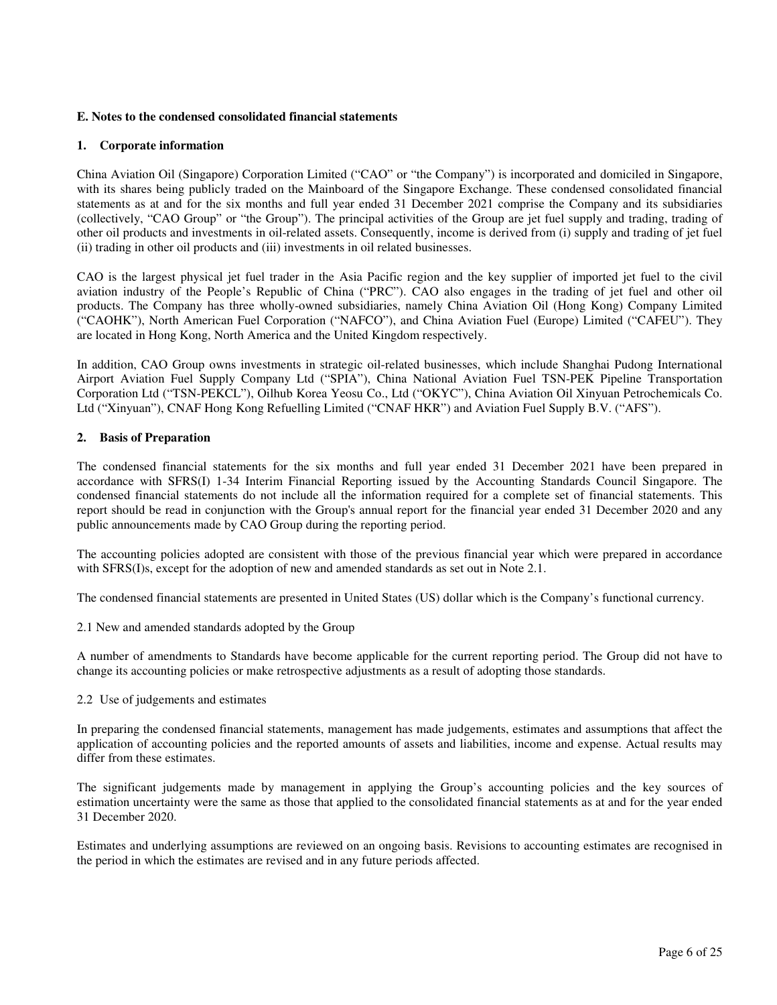#### **E. Notes to the condensed consolidated financial statements**

#### **1. Corporate information**

China Aviation Oil (Singapore) Corporation Limited ("CAO" or "the Company") is incorporated and domiciled in Singapore, with its shares being publicly traded on the Mainboard of the Singapore Exchange. These condensed consolidated financial statements as at and for the six months and full year ended 31 December 2021 comprise the Company and its subsidiaries (collectively, "CAO Group" or "the Group"). The principal activities of the Group are jet fuel supply and trading, trading of other oil products and investments in oil-related assets. Consequently, income is derived from (i) supply and trading of jet fuel (ii) trading in other oil products and (iii) investments in oil related businesses.

CAO is the largest physical jet fuel trader in the Asia Pacific region and the key supplier of imported jet fuel to the civil aviation industry of the People's Republic of China ("PRC"). CAO also engages in the trading of jet fuel and other oil products. The Company has three wholly-owned subsidiaries, namely China Aviation Oil (Hong Kong) Company Limited ("CAOHK"), North American Fuel Corporation ("NAFCO"), and China Aviation Fuel (Europe) Limited ("CAFEU"). They are located in Hong Kong, North America and the United Kingdom respectively.

In addition, CAO Group owns investments in strategic oil-related businesses, which include Shanghai Pudong International Airport Aviation Fuel Supply Company Ltd ("SPIA"), China National Aviation Fuel TSN-PEK Pipeline Transportation Corporation Ltd ("TSN-PEKCL"), Oilhub Korea Yeosu Co., Ltd ("OKYC"), China Aviation Oil Xinyuan Petrochemicals Co. Ltd ("Xinyuan"), CNAF Hong Kong Refuelling Limited ("CNAF HKR") and Aviation Fuel Supply B.V. ("AFS").

#### **2. Basis of Preparation**

The condensed financial statements for the six months and full year ended 31 December 2021 have been prepared in accordance with SFRS(I) 1-34 Interim Financial Reporting issued by the Accounting Standards Council Singapore. The condensed financial statements do not include all the information required for a complete set of financial statements. This report should be read in conjunction with the Group's annual report for the financial year ended 31 December 2020 and any public announcements made by CAO Group during the reporting period.

The accounting policies adopted are consistent with those of the previous financial year which were prepared in accordance with SFRS(I)s, except for the adoption of new and amended standards as set out in Note 2.1.

The condensed financial statements are presented in United States (US) dollar which is the Company's functional currency.

2.1 New and amended standards adopted by the Group

A number of amendments to Standards have become applicable for the current reporting period. The Group did not have to change its accounting policies or make retrospective adjustments as a result of adopting those standards.

#### 2.2 Use of judgements and estimates

In preparing the condensed financial statements, management has made judgements, estimates and assumptions that affect the application of accounting policies and the reported amounts of assets and liabilities, income and expense. Actual results may differ from these estimates.

The significant judgements made by management in applying the Group's accounting policies and the key sources of estimation uncertainty were the same as those that applied to the consolidated financial statements as at and for the year ended 31 December 2020.

Estimates and underlying assumptions are reviewed on an ongoing basis. Revisions to accounting estimates are recognised in the period in which the estimates are revised and in any future periods affected.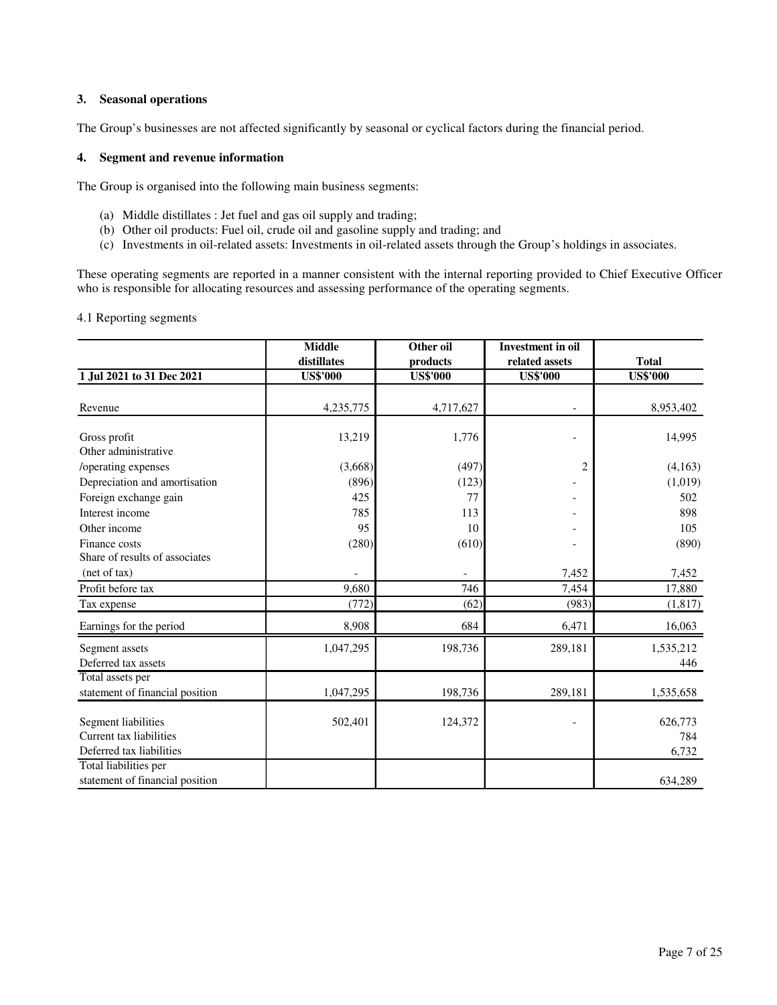#### **3. Seasonal operations**

The Group's businesses are not affected significantly by seasonal or cyclical factors during the financial period.

#### **4. Segment and revenue information**

The Group is organised into the following main business segments:

- (a) Middle distillates : Jet fuel and gas oil supply and trading;
- (b) Other oil products: Fuel oil, crude oil and gasoline supply and trading; and
- (c) Investments in oil-related assets: Investments in oil-related assets through the Group's holdings in associates.

These operating segments are reported in a manner consistent with the internal reporting provided to Chief Executive Officer who is responsible for allocating resources and assessing performance of the operating segments.

4.1 Reporting segments

|                                                                            | <b>Middle</b>   | Other oil       | <b>Investment</b> in oil |                         |
|----------------------------------------------------------------------------|-----------------|-----------------|--------------------------|-------------------------|
|                                                                            | distillates     | products        | related assets           | <b>Total</b>            |
| 1 Jul 2021 to 31 Dec 2021                                                  | <b>US\$'000</b> | <b>US\$'000</b> | <b>US\$'000</b>          | <b>US\$'000</b>         |
| Revenue                                                                    | 4,235,775       | 4,717,627       |                          | 8,953,402               |
| Gross profit<br>Other administrative                                       | 13,219          | 1,776           | $\overline{a}$           | 14,995                  |
| /operating expenses                                                        | (3,668)         | (497)           | $\overline{2}$           | (4,163)                 |
| Depreciation and amortisation                                              | (896)           | (123)           |                          | (1,019)                 |
| Foreign exchange gain                                                      | 425             | 77              |                          | 502                     |
| Interest income                                                            | 785             | 113             |                          | 898                     |
| Other income                                                               | 95              | 10              |                          | 105                     |
| Finance costs                                                              | (280)           | (610)           |                          | (890)                   |
| Share of results of associates                                             |                 |                 |                          |                         |
| (net of tax)                                                               |                 |                 | 7,452                    | 7,452                   |
| Profit before tax                                                          | 9,680           | 746             | 7,454                    | 17,880                  |
| Tax expense                                                                | (772)           | (62)            | (983)                    | (1, 817)                |
| Earnings for the period                                                    | 8,908           | 684             | 6,471                    | 16,063                  |
| Segment assets<br>Deferred tax assets                                      | 1,047,295       | 198,736         | 289,181                  | 1,535,212<br>446        |
| Total assets per<br>statement of financial position                        | 1,047,295       | 198,736         | 289,181                  | 1,535,658               |
| Segment liabilities<br>Current tax liabilities<br>Deferred tax liabilities | 502,401         | 124,372         |                          | 626,773<br>784<br>6,732 |
| Total liabilities per<br>statement of financial position                   |                 |                 |                          | 634,289                 |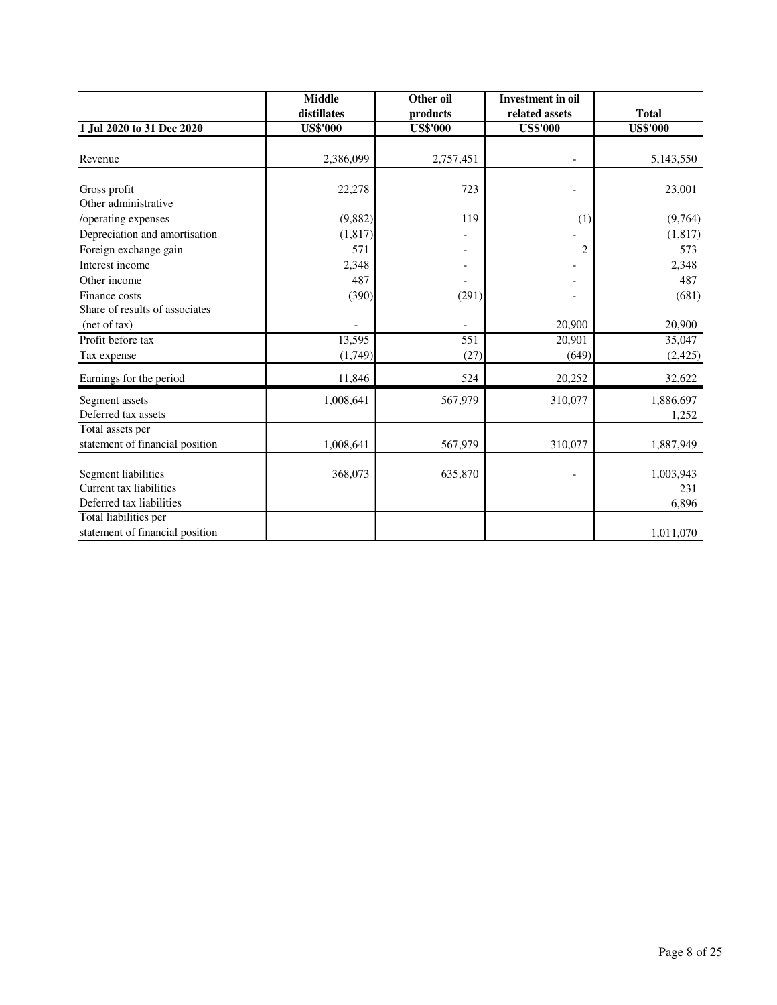|                                 | <b>Middle</b>   | Other oil       | <b>Investment</b> in oil |                 |
|---------------------------------|-----------------|-----------------|--------------------------|-----------------|
|                                 | distillates     | products        | related assets           | <b>Total</b>    |
| 1 Jul 2020 to 31 Dec 2020       | <b>US\$'000</b> | <b>US\$'000</b> | <b>US\$'000</b>          | <b>US\$'000</b> |
|                                 |                 |                 |                          |                 |
| Revenue                         | 2,386,099       | 2,757,451       |                          | 5,143,550       |
|                                 |                 |                 |                          |                 |
| Gross profit                    | 22,278          | 723             |                          | 23,001          |
| Other administrative            |                 |                 |                          |                 |
| /operating expenses             | (9,882)         | 119             | (1)                      | (9,764)         |
| Depreciation and amortisation   | (1,817)         |                 |                          | (1,817)         |
| Foreign exchange gain           | 571             |                 | 2                        | 573             |
| Interest income                 | 2,348           |                 |                          | 2,348           |
| Other income                    | 487             |                 |                          | 487             |
| Finance costs                   | (390)           | (291)           |                          | (681)           |
| Share of results of associates  |                 |                 |                          |                 |
| (net of tax)                    |                 |                 | 20,900                   | 20,900          |
| Profit before tax               | 13,595          | 551             | 20,901                   | 35,047          |
| Tax expense                     | (1,749)         | (27)            | (649)                    | (2, 425)        |
| Earnings for the period         | 11,846          | 524             | 20,252                   | 32,622          |
| Segment assets                  | 1,008,641       | 567,979         | 310,077                  | 1,886,697       |
| Deferred tax assets             |                 |                 |                          | 1,252           |
| Total assets per                |                 |                 |                          |                 |
| statement of financial position | 1,008,641       | 567,979         | 310,077                  | 1,887,949       |
|                                 |                 |                 |                          |                 |
| Segment liabilities             | 368,073         | 635,870         |                          | 1,003,943       |
| Current tax liabilities         |                 |                 |                          | 231             |
| Deferred tax liabilities        |                 |                 |                          | 6,896           |
| Total liabilities per           |                 |                 |                          |                 |
| statement of financial position |                 |                 |                          | 1,011,070       |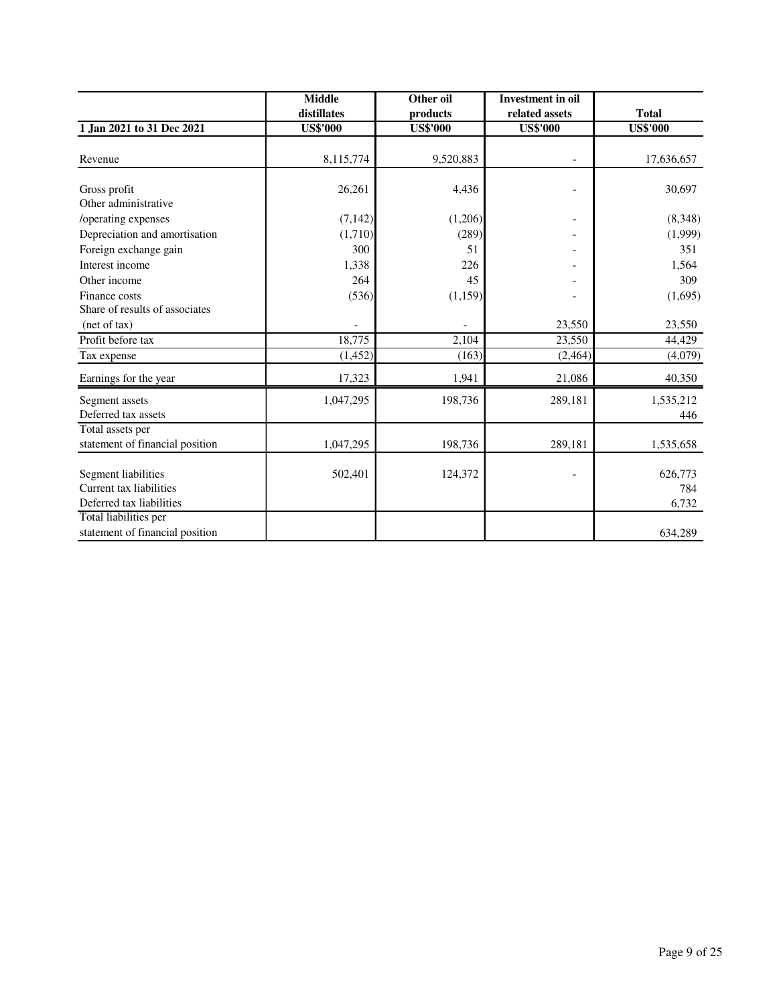|                                                                            | <b>Middle</b>   | Other oil       | <b>Investment</b> in oil |                         |
|----------------------------------------------------------------------------|-----------------|-----------------|--------------------------|-------------------------|
|                                                                            | distillates     | products        | related assets           | <b>Total</b>            |
| 1 Jan 2021 to 31 Dec 2021                                                  | <b>US\$'000</b> | <b>US\$'000</b> | <b>US\$'000</b>          | <b>US\$'000</b>         |
| Revenue                                                                    | 8,115,774       | 9,520,883       |                          | 17,636,657              |
| Gross profit<br>Other administrative                                       | 26,261          | 4,436           |                          | 30,697                  |
| /operating expenses                                                        | (7,142)         | (1,206)         |                          | (8,348)                 |
| Depreciation and amortisation                                              | (1,710)         | (289)           |                          | (1,999)                 |
| Foreign exchange gain                                                      | 300             | 51              |                          | 351                     |
| Interest income                                                            | 1,338           | 226             |                          | 1,564                   |
| Other income                                                               | 264             | 45              |                          | 309                     |
| Finance costs                                                              | (536)           | (1,159)         |                          | (1,695)                 |
| Share of results of associates                                             |                 |                 |                          |                         |
| (net of tax)                                                               |                 |                 | 23,550                   | 23,550                  |
| Profit before tax                                                          | 18,775          | 2,104           | 23,550                   | 44,429                  |
| Tax expense                                                                | (1,452)         | (163)           | (2, 464)                 | (4,079)                 |
| Earnings for the year                                                      | 17,323          | 1,941           | 21,086                   | 40,350                  |
| Segment assets<br>Deferred tax assets                                      | 1,047,295       | 198,736         | 289,181                  | 1,535,212<br>446        |
| Total assets per                                                           |                 |                 |                          |                         |
| statement of financial position                                            | 1,047,295       | 198,736         | 289,181                  | 1,535,658               |
| Segment liabilities<br>Current tax liabilities<br>Deferred tax liabilities | 502,401         | 124,372         |                          | 626,773<br>784<br>6,732 |
| Total liabilities per<br>statement of financial position                   |                 |                 |                          | 634,289                 |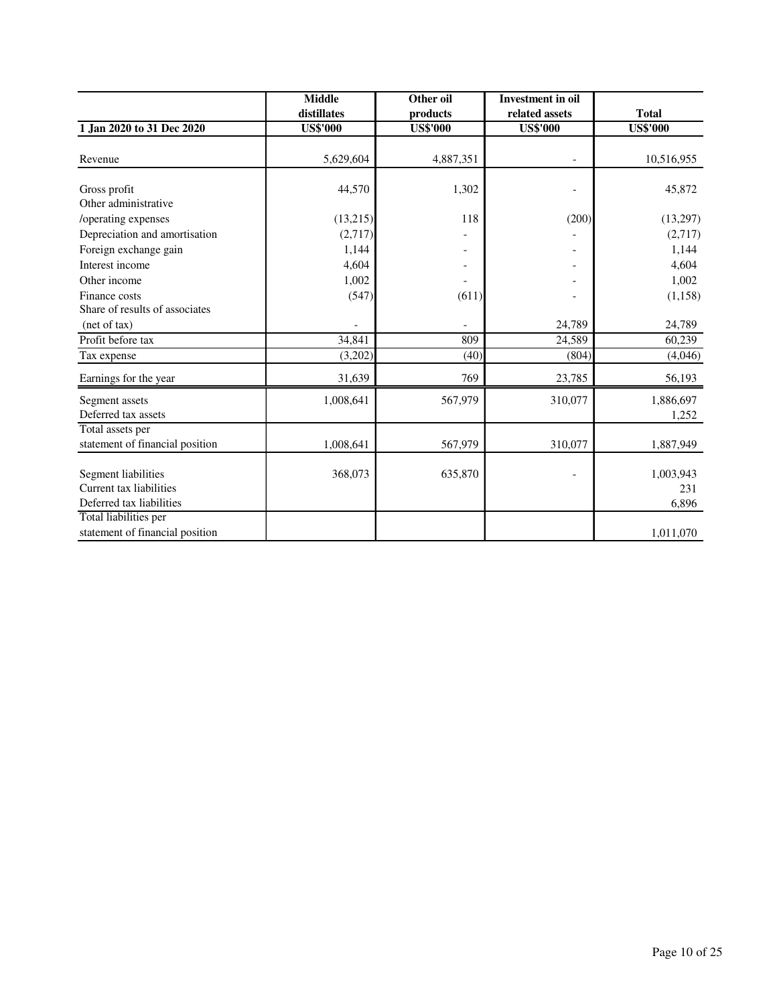|                                 | <b>Middle</b>   | Other oil       | <b>Investment</b> in oil |                 |
|---------------------------------|-----------------|-----------------|--------------------------|-----------------|
|                                 | distillates     | products        | related assets           | <b>Total</b>    |
| 1 Jan 2020 to 31 Dec 2020       | <b>US\$'000</b> | <b>US\$'000</b> | <b>US\$'000</b>          | <b>US\$'000</b> |
|                                 |                 |                 |                          |                 |
| Revenue                         | 5,629,604       | 4,887,351       |                          | 10,516,955      |
| Gross profit                    | 44,570          | 1,302           |                          | 45,872          |
| Other administrative            |                 |                 |                          |                 |
|                                 | (13,215)        | 118             | (200)                    |                 |
| /operating expenses             |                 |                 |                          | (13,297)        |
| Depreciation and amortisation   | (2,717)         |                 |                          | (2,717)         |
| Foreign exchange gain           | 1,144           |                 |                          | 1,144           |
| Interest income                 | 4,604           |                 |                          | 4,604           |
| Other income                    | 1,002           |                 |                          | 1,002           |
| Finance costs                   | (547)           | (611)           |                          | (1, 158)        |
| Share of results of associates  |                 |                 |                          |                 |
| (net of tax)                    |                 |                 | 24,789                   | 24,789          |
| Profit before tax               | 34,841          | 809             | 24,589                   | 60,239          |
| Tax expense                     | (3,202)         | (40)            | (804)                    | (4,046)         |
| Earnings for the year           | 31,639          | 769             | 23,785                   | 56,193          |
| Segment assets                  | 1,008,641       | 567,979         | 310,077                  | 1,886,697       |
| Deferred tax assets             |                 |                 |                          | 1,252           |
| Total assets per                |                 |                 |                          |                 |
| statement of financial position | 1,008,641       | 567,979         | 310,077                  | 1,887,949       |
| Segment liabilities             | 368,073         | 635,870         |                          | 1,003,943       |
| Current tax liabilities         |                 |                 |                          | 231             |
|                                 |                 |                 |                          |                 |
| Deferred tax liabilities        |                 |                 |                          | 6,896           |
| Total liabilities per           |                 |                 |                          |                 |
| statement of financial position |                 |                 |                          | 1,011,070       |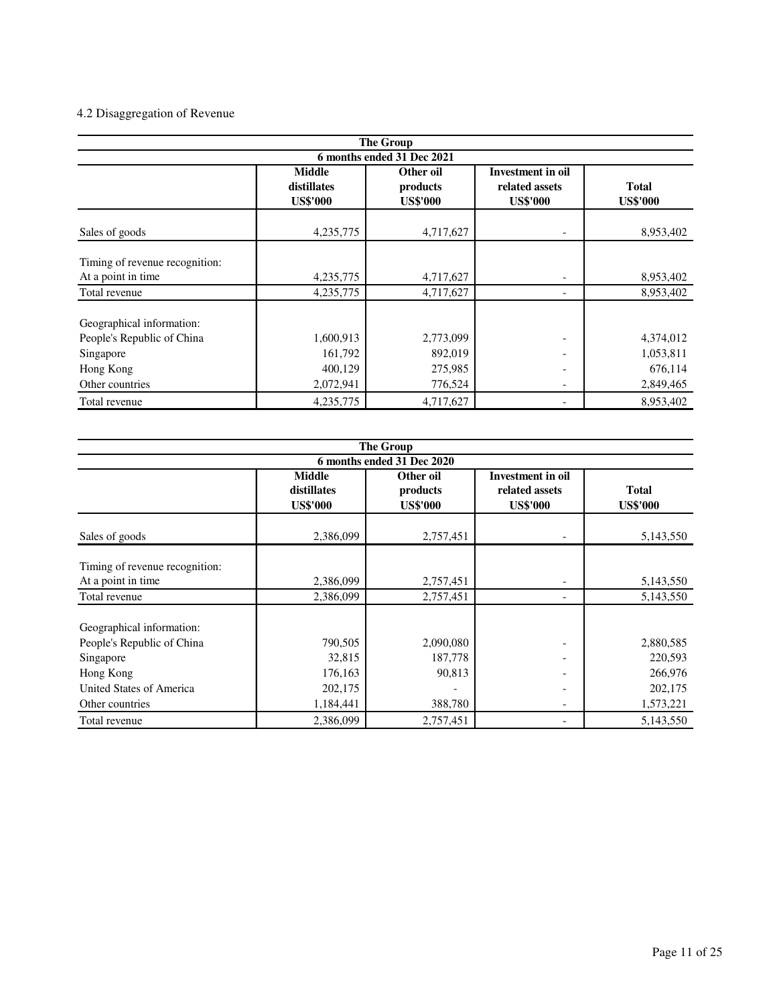# 4.2 Disaggregation of Revenue

| <b>The Group</b>               |                                                 |                                          |                                                               |                                 |  |  |  |
|--------------------------------|-------------------------------------------------|------------------------------------------|---------------------------------------------------------------|---------------------------------|--|--|--|
| 6 months ended 31 Dec 2021     |                                                 |                                          |                                                               |                                 |  |  |  |
|                                | <b>Middle</b><br>distillates<br><b>US\$'000</b> | Other oil<br>products<br><b>US\$'000</b> | <b>Investment in oil</b><br>related assets<br><b>US\$'000</b> | <b>Total</b><br><b>US\$'000</b> |  |  |  |
| Sales of goods                 | 4,235,775                                       | 4,717,627                                |                                                               | 8,953,402                       |  |  |  |
| Timing of revenue recognition: |                                                 |                                          |                                                               |                                 |  |  |  |
| At a point in time             | 4,235,775                                       | 4,717,627                                |                                                               | 8,953,402                       |  |  |  |
| Total revenue                  | 4,235,775                                       | 4,717,627                                |                                                               | 8,953,402                       |  |  |  |
| Geographical information:      |                                                 |                                          |                                                               |                                 |  |  |  |
| People's Republic of China     | 1,600,913                                       | 2,773,099                                |                                                               | 4,374,012                       |  |  |  |
| Singapore                      | 161,792                                         | 892,019                                  |                                                               | 1,053,811                       |  |  |  |
| Hong Kong                      | 400,129                                         | 275,985                                  |                                                               | 676,114                         |  |  |  |
| Other countries                | 2,072,941                                       | 776,524                                  | $\overline{\phantom{a}}$                                      | 2,849,465                       |  |  |  |
| Total revenue                  | 4, 235, 775                                     | 4,717,627                                |                                                               | 8,953,402                       |  |  |  |

| <b>The Group</b>               |                                                 |                                          |                                                               |                                 |  |  |  |
|--------------------------------|-------------------------------------------------|------------------------------------------|---------------------------------------------------------------|---------------------------------|--|--|--|
| 6 months ended 31 Dec 2020     |                                                 |                                          |                                                               |                                 |  |  |  |
|                                | <b>Middle</b><br>distillates<br><b>US\$'000</b> | Other oil<br>products<br><b>US\$'000</b> | <b>Investment in oil</b><br>related assets<br><b>US\$'000</b> | <b>Total</b><br><b>US\$'000</b> |  |  |  |
| Sales of goods                 | 2,386,099                                       | 2,757,451                                |                                                               | 5,143,550                       |  |  |  |
| Timing of revenue recognition: |                                                 |                                          |                                                               |                                 |  |  |  |
| At a point in time             | 2,386,099                                       | 2,757,451                                |                                                               | 5,143,550                       |  |  |  |
| Total revenue                  | 2,386,099                                       | 2,757,451                                |                                                               | 5,143,550                       |  |  |  |
| Geographical information:      |                                                 |                                          |                                                               |                                 |  |  |  |
| People's Republic of China     | 790,505                                         | 2,090,080                                |                                                               | 2,880,585                       |  |  |  |
| Singapore                      | 32,815                                          | 187,778                                  |                                                               | 220,593                         |  |  |  |
| Hong Kong                      | 176,163                                         | 90,813                                   |                                                               | 266,976                         |  |  |  |
| United States of America       | 202,175                                         |                                          | -                                                             | 202,175                         |  |  |  |
| Other countries                | 1,184,441                                       | 388,780                                  |                                                               | 1,573,221                       |  |  |  |
| Total revenue                  | 2,386,099                                       | 2,757,451                                |                                                               | 5,143,550                       |  |  |  |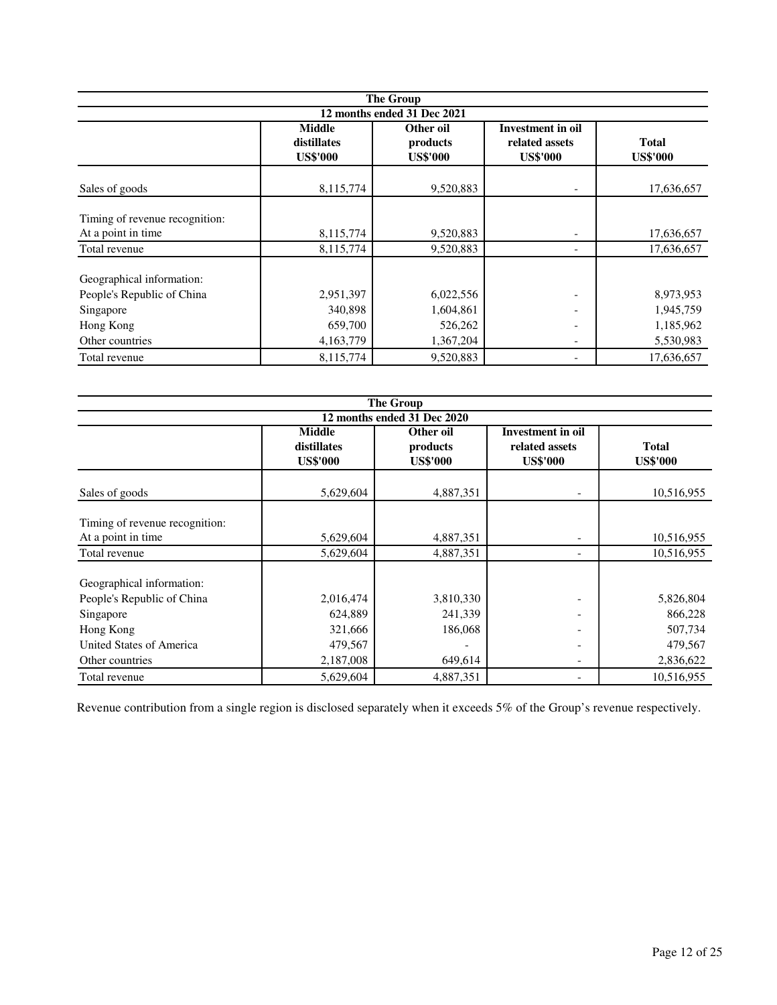| <b>The Group</b>                                                                                     |                                                 |                                                |                                                                                      |                                                  |  |  |  |
|------------------------------------------------------------------------------------------------------|-------------------------------------------------|------------------------------------------------|--------------------------------------------------------------------------------------|--------------------------------------------------|--|--|--|
| 12 months ended 31 Dec 2021                                                                          |                                                 |                                                |                                                                                      |                                                  |  |  |  |
|                                                                                                      | <b>Middle</b><br>distillates<br><b>US\$'000</b> | Other oil<br>products<br><b>US\$'000</b>       | Investment in oil<br>related assets<br><b>US\$'000</b>                               | <b>Total</b><br><b>US\$'000</b>                  |  |  |  |
| Sales of goods                                                                                       | 8,115,774                                       | 9,520,883                                      |                                                                                      | 17,636,657                                       |  |  |  |
| Timing of revenue recognition:                                                                       |                                                 |                                                |                                                                                      |                                                  |  |  |  |
| At a point in time<br>Total revenue                                                                  | 8,115,774<br>8,115,774                          | 9,520,883<br>9,520,883                         | $\overline{\phantom{0}}$                                                             | 17,636,657<br>17,636,657                         |  |  |  |
| Geographical information:<br>People's Republic of China<br>Singapore<br>Hong Kong<br>Other countries | 2,951,397<br>340,898<br>659,700<br>4,163,779    | 6,022,556<br>1,604,861<br>526,262<br>1,367,204 | $\overline{\phantom{a}}$<br>$\overline{\phantom{a}}$<br>$\qquad \qquad \blacksquare$ | 8,973,953<br>1,945,759<br>1,185,962<br>5,530,983 |  |  |  |
| Total revenue                                                                                        | 8,115,774                                       | 9,520,883                                      |                                                                                      | 17,636,657                                       |  |  |  |

| <b>The Group</b>               |                                                       |                 |                                            |                 |  |  |  |
|--------------------------------|-------------------------------------------------------|-----------------|--------------------------------------------|-----------------|--|--|--|
| 12 months ended 31 Dec 2020    |                                                       |                 |                                            |                 |  |  |  |
|                                | <b>Middle</b><br>Other oil<br>distillates<br>products |                 | <b>Investment</b> in oil<br>related assets | <b>Total</b>    |  |  |  |
|                                | <b>US\$'000</b>                                       | <b>US\$'000</b> | <b>US\$'000</b>                            | <b>US\$'000</b> |  |  |  |
| Sales of goods                 | 5,629,604                                             | 4,887,351       |                                            | 10,516,955      |  |  |  |
| Timing of revenue recognition: |                                                       |                 |                                            |                 |  |  |  |
| At a point in time             | 5,629,604                                             | 4,887,351       |                                            | 10,516,955      |  |  |  |
| Total revenue                  | 5,629,604                                             | 4,887,351       |                                            | 10,516,955      |  |  |  |
| Geographical information:      |                                                       |                 |                                            |                 |  |  |  |
| People's Republic of China     | 2,016,474                                             | 3,810,330       |                                            | 5,826,804       |  |  |  |
| Singapore                      | 624,889                                               | 241,339         |                                            | 866,228         |  |  |  |
| Hong Kong                      | 321,666                                               | 186,068         |                                            | 507,734         |  |  |  |
| United States of America       | 479,567                                               |                 |                                            | 479,567         |  |  |  |
| Other countries                | 2,187,008                                             | 649,614         |                                            | 2,836,622       |  |  |  |
| Total revenue                  | 5,629,604                                             | 4,887,351       |                                            | 10,516,955      |  |  |  |

Revenue contribution from a single region is disclosed separately when it exceeds 5% of the Group's revenue respectively.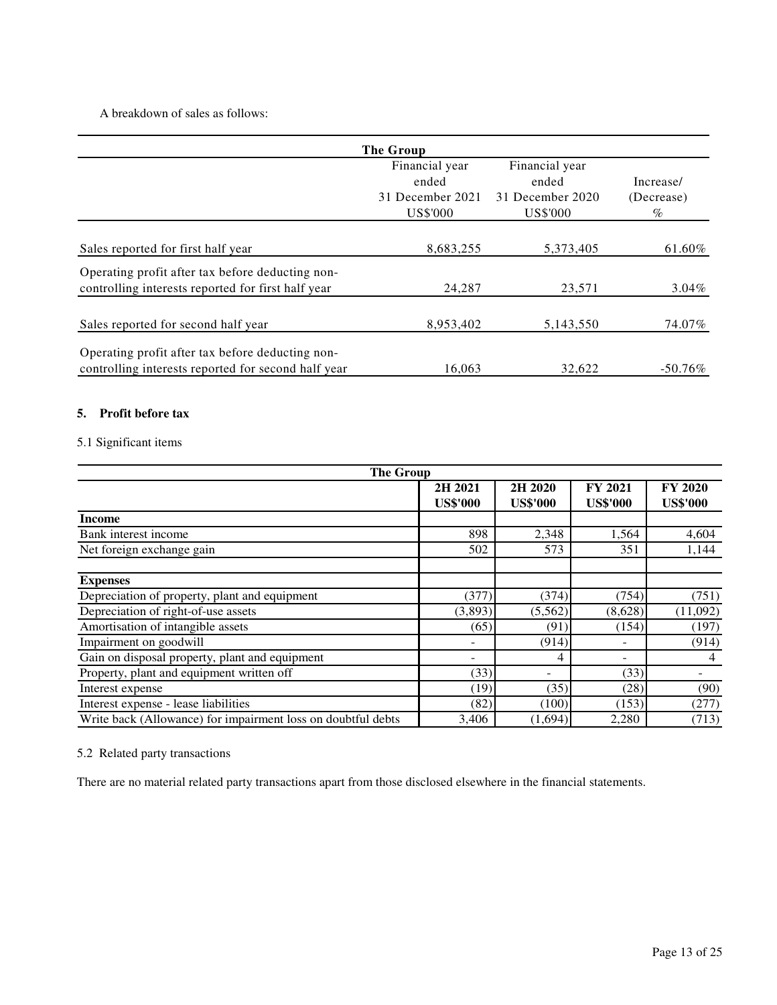## A breakdown of sales as follows:

|                                                                                                         | The Group                                               |                                                         |                                 |
|---------------------------------------------------------------------------------------------------------|---------------------------------------------------------|---------------------------------------------------------|---------------------------------|
|                                                                                                         | Financial year<br>ended<br>31 December 2021<br>US\$'000 | Financial year<br>ended<br>31 December 2020<br>US\$'000 | Increase/<br>(Decrease)<br>$\%$ |
| Sales reported for first half year                                                                      | 8,683,255                                               | 5,373,405                                               | 61.60%                          |
| Operating profit after tax before deducting non-<br>controlling interests reported for first half year  | 24,287                                                  | 23,571                                                  | $3.04\%$                        |
| Sales reported for second half year                                                                     | 8,953,402                                               | 5,143,550                                               | 74.07%                          |
| Operating profit after tax before deducting non-<br>controlling interests reported for second half year | 16.063                                                  | 32,622                                                  | $-50.76\%$                      |

### **5. Profit before tax**

## 5.1 Significant items

| <b>The Group</b>                                             |                            |                            |                                   |                                   |  |
|--------------------------------------------------------------|----------------------------|----------------------------|-----------------------------------|-----------------------------------|--|
|                                                              | 2H 2021<br><b>US\$'000</b> | 2H 2020<br><b>US\$'000</b> | <b>FY 2021</b><br><b>US\$'000</b> | <b>FY 2020</b><br><b>US\$'000</b> |  |
| <b>Income</b>                                                |                            |                            |                                   |                                   |  |
| Bank interest income                                         | 898                        | 2,348                      | 1,564                             | 4,604                             |  |
| Net foreign exchange gain                                    | 502                        | 573                        | 351                               | 1,144                             |  |
| <b>Expenses</b>                                              |                            |                            |                                   |                                   |  |
| Depreciation of property, plant and equipment                | (377)                      | (374)                      | (754)                             | (751)                             |  |
| Depreciation of right-of-use assets                          | (3,893)                    | (5,562)                    | (8,628)                           | (11,092)                          |  |
| Amortisation of intangible assets                            | (65)                       | (91)                       | (154)                             | (197)                             |  |
| Impairment on goodwill                                       |                            | (914)                      |                                   | (914)                             |  |
| Gain on disposal property, plant and equipment               |                            | 4                          |                                   | 4                                 |  |
| Property, plant and equipment written off                    | (33)                       |                            | (33)                              |                                   |  |
| Interest expense                                             | (19)                       | (35)                       | (28)                              | (90)                              |  |
| Interest expense - lease liabilities                         | (82)                       | (100)                      | (153)                             | (277)                             |  |
| Write back (Allowance) for impairment loss on doubtful debts | 3,406                      | (1,694)                    | 2,280                             | (713)                             |  |

## 5.2 Related party transactions

There are no material related party transactions apart from those disclosed elsewhere in the financial statements.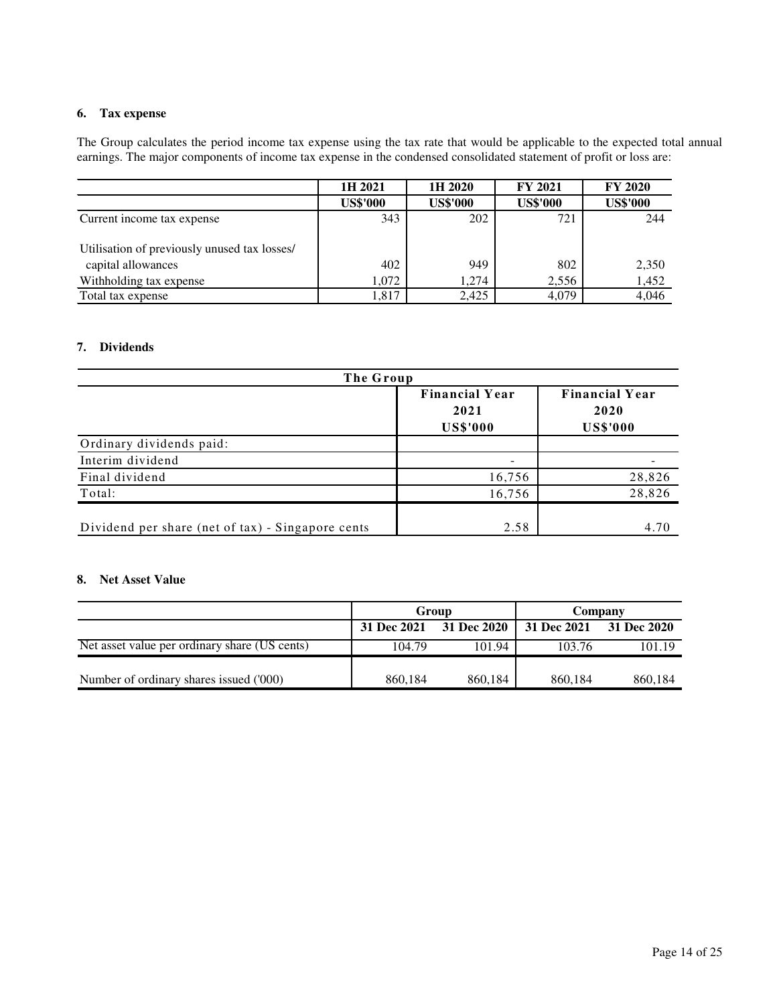### **6. Tax expense**

The Group calculates the period income tax expense using the tax rate that would be applicable to the expected total annual earnings. The major components of income tax expense in the condensed consolidated statement of profit or loss are:

|                                              | 1H 2021         | 1H 2020         | <b>FY 2021</b>  | <b>FY 2020</b>  |
|----------------------------------------------|-----------------|-----------------|-----------------|-----------------|
|                                              | <b>US\$'000</b> | <b>US\$'000</b> | <b>US\$'000</b> | <b>US\$'000</b> |
| Current income tax expense                   | 343             | 202             | 721             | 244             |
| Utilisation of previously unused tax losses/ |                 |                 |                 |                 |
| capital allowances                           | 402             | 949             | 802             | 2,350           |
| Withholding tax expense                      | 1.072           | 1,274           | 2,556           | 1,452           |
| Total tax expense                            | 1,817           | 2,425           | 4,079           | 4,046           |

### **7. Dividends**

| The Group                                         |                                                  |                                                  |  |  |  |
|---------------------------------------------------|--------------------------------------------------|--------------------------------------------------|--|--|--|
|                                                   | <b>Financial Year</b><br>2021<br><b>US\$'000</b> | <b>Financial Year</b><br>2020<br><b>US\$'000</b> |  |  |  |
| Ordinary dividends paid:                          |                                                  |                                                  |  |  |  |
| Interim dividend                                  |                                                  |                                                  |  |  |  |
| Final dividend                                    | 16,756                                           | 28,826                                           |  |  |  |
| Total:                                            | 16,756                                           | 28,826                                           |  |  |  |
| Dividend per share (net of tax) - Singapore cents | 2.58                                             | 4.70                                             |  |  |  |

### **8. Net Asset Value**

|                                               | Group                   |         | Company                 |         |
|-----------------------------------------------|-------------------------|---------|-------------------------|---------|
|                                               | 31 Dec 2021 31 Dec 2020 |         | 31 Dec 2021 31 Dec 2020 |         |
| Net asset value per ordinary share (US cents) | 104.79                  | 101.94  | 103.76                  | 101.19  |
|                                               |                         |         |                         |         |
| Number of ordinary shares issued ('000)       | 860.184                 | 860,184 | 860.184                 | 860.184 |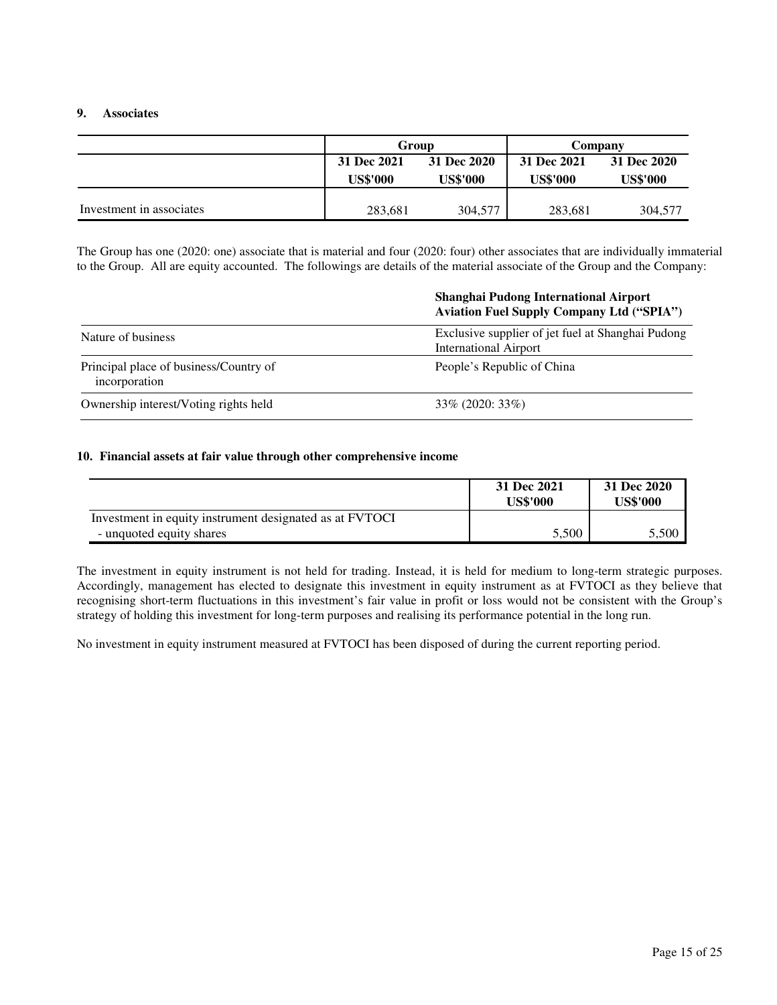#### **9. Associates**

|                          | Group           |                 | Company     |                 |
|--------------------------|-----------------|-----------------|-------------|-----------------|
|                          | 31 Dec 2021     | 31 Dec 2020     | 31 Dec 2021 | 31 Dec 2020     |
|                          | <b>US\$'000</b> | <b>US\$'000</b> | US\$'000    | <b>US\$'000</b> |
|                          |                 |                 |             |                 |
| Investment in associates | 283,681         | 304,577         | 283,681     | 304,577         |

The Group has one (2020: one) associate that is material and four (2020: four) other associates that are individually immaterial to the Group. All are equity accounted. The followings are details of the material associate of the Group and the Company:

## **Shanghai Pudong International Airport Aviation Fuel Supply Company Ltd ("SPIA")**

| Nature of business                                      | Exclusive supplier of jet fuel at Shanghai Pudong<br><b>International Airport</b> |
|---------------------------------------------------------|-----------------------------------------------------------------------------------|
| Principal place of business/Country of<br>incorporation | People's Republic of China                                                        |
| Ownership interest/Voting rights held                   | $33\%$ (2020: 33%)                                                                |

#### **10. Financial assets at fair value through other comprehensive income**

|                                                         | 31 Dec 2021<br><b>US\$'000</b> | 31 Dec 2020<br><b>US\$'000</b> |
|---------------------------------------------------------|--------------------------------|--------------------------------|
| Investment in equity instrument designated as at FVTOCI |                                |                                |
| - unquoted equity shares                                | 5,500                          | 5.500                          |

The investment in equity instrument is not held for trading. Instead, it is held for medium to long-term strategic purposes. Accordingly, management has elected to designate this investment in equity instrument as at FVTOCI as they believe that recognising short-term fluctuations in this investment's fair value in profit or loss would not be consistent with the Group's strategy of holding this investment for long-term purposes and realising its performance potential in the long run.

No investment in equity instrument measured at FVTOCI has been disposed of during the current reporting period.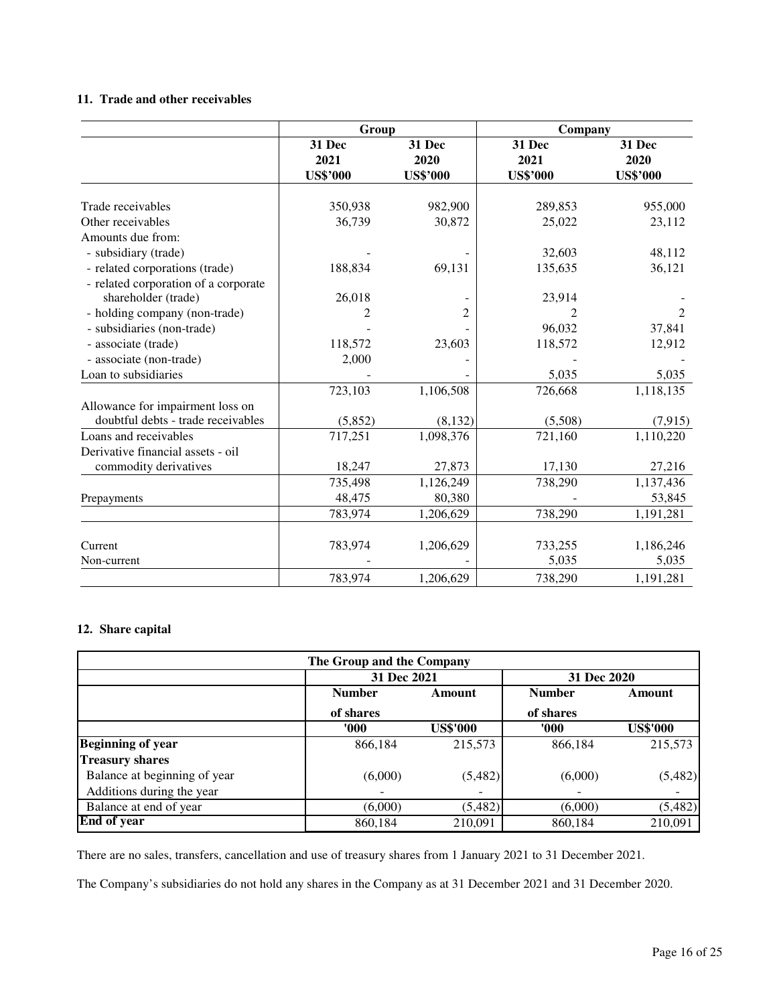## **11. Trade and other receivables**

|                                      | Group                             |                                   | Company                           |                                   |
|--------------------------------------|-----------------------------------|-----------------------------------|-----------------------------------|-----------------------------------|
|                                      | 31 Dec<br>2021<br><b>US\$'000</b> | 31 Dec<br>2020<br><b>US\$'000</b> | 31 Dec<br>2021<br><b>US\$'000</b> | 31 Dec<br>2020<br><b>US\$'000</b> |
|                                      |                                   |                                   |                                   |                                   |
| Trade receivables                    | 350,938                           | 982,900                           | 289,853                           | 955,000                           |
| Other receivables                    | 36,739                            | 30,872                            | 25,022                            | 23,112                            |
| Amounts due from:                    |                                   |                                   |                                   |                                   |
| - subsidiary (trade)                 |                                   |                                   | 32,603                            | 48,112                            |
| - related corporations (trade)       | 188,834                           | 69,131                            | 135,635                           | 36,121                            |
| - related corporation of a corporate |                                   |                                   |                                   |                                   |
| shareholder (trade)                  | 26,018                            |                                   | 23,914                            |                                   |
| - holding company (non-trade)        | 2                                 | $\overline{2}$                    |                                   | 2                                 |
| - subsidiaries (non-trade)           |                                   |                                   | 96,032                            | 37,841                            |
| - associate (trade)                  | 118,572                           | 23,603                            | 118,572                           | 12,912                            |
| - associate (non-trade)              | 2,000                             |                                   |                                   |                                   |
| Loan to subsidiaries                 |                                   |                                   | 5,035                             | 5,035                             |
|                                      | 723,103                           | 1,106,508                         | 726,668                           | 1,118,135                         |
| Allowance for impairment loss on     |                                   |                                   |                                   |                                   |
| doubtful debts - trade receivables   | (5,852)                           | (8, 132)                          | (5,508)                           | (7, 915)                          |
| Loans and receivables                | 717,251                           | 1,098,376                         | 721,160                           | 1,110,220                         |
| Derivative financial assets - oil    |                                   |                                   |                                   |                                   |
| commodity derivatives                | 18,247                            | 27,873                            | 17,130                            | 27,216                            |
|                                      | 735,498                           | 1,126,249                         | 738,290                           | 1,137,436                         |
| Prepayments                          | 48,475                            | 80,380                            |                                   | 53,845                            |
|                                      | 783,974                           | 1,206,629                         | 738,290                           | 1,191,281                         |
|                                      |                                   |                                   |                                   |                                   |
| Current                              | 783,974                           | 1,206,629                         | 733,255                           | 1,186,246                         |
| Non-current                          |                                   |                                   | 5,035                             | 5,035                             |
|                                      | 783,974                           | 1,206,629                         | 738,290                           | 1,191,281                         |

### **12. Share capital**

| The Group and the Company    |                         |                          |               |                 |  |  |
|------------------------------|-------------------------|--------------------------|---------------|-----------------|--|--|
|                              | 31 Dec 2021             |                          | 31 Dec 2020   |                 |  |  |
|                              | <b>Number</b><br>Amount |                          | <b>Number</b> | Amount          |  |  |
|                              | of shares               |                          | of shares     |                 |  |  |
|                              | 000'                    | <b>US\$'000</b>          | 000'          | <b>US\$'000</b> |  |  |
| <b>Beginning of year</b>     | 866,184                 | 215,573                  | 866.184       | 215,573         |  |  |
| <b>Treasury shares</b>       |                         |                          |               |                 |  |  |
| Balance at beginning of year | (6,000)                 | (5,482)                  | (6,000)       | (5,482)         |  |  |
| Additions during the year    |                         | $\overline{\phantom{a}}$ |               |                 |  |  |
| Balance at end of year       | (6,000)                 | (5,482)                  | (6,000)       | (5,482)         |  |  |
| <b>End of year</b>           | 860,184                 | 210,091                  | 860,184       | 210,091         |  |  |

There are no sales, transfers, cancellation and use of treasury shares from 1 January 2021 to 31 December 2021.

The Company's subsidiaries do not hold any shares in the Company as at 31 December 2021 and 31 December 2020.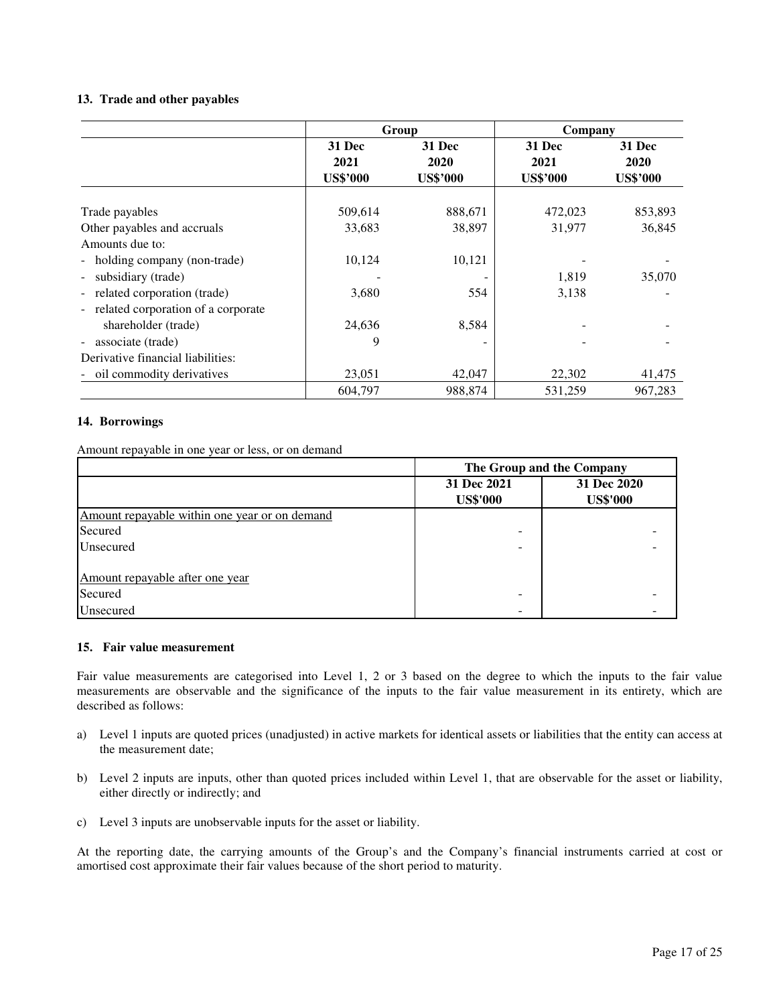#### **13. Trade and other payables**

|                                                       | Group                             |                                          | Company                                  |                                   |
|-------------------------------------------------------|-----------------------------------|------------------------------------------|------------------------------------------|-----------------------------------|
|                                                       | 31 Dec<br>2021<br><b>US\$'000</b> | <b>31 Dec</b><br>2020<br><b>US\$'000</b> | <b>31 Dec</b><br>2021<br><b>US\$'000</b> | 31 Dec<br>2020<br><b>US\$'000</b> |
| Trade payables                                        | 509,614                           | 888,671                                  | 472,023                                  | 853,893                           |
| Other payables and accruals                           | 33,683                            | 38,897                                   | 31,977                                   | 36,845                            |
| Amounts due to:                                       |                                   |                                          |                                          |                                   |
| - holding company (non-trade)                         | 10,124                            | 10,121                                   |                                          |                                   |
| subsidiary (trade)<br>$\overline{\phantom{a}}$        |                                   |                                          | 1,819                                    | 35,070                            |
| - related corporation (trade)                         | 3,680                             | 554                                      | 3,138                                    |                                   |
| - related corporation of a corporate                  |                                   |                                          |                                          |                                   |
| shareholder (trade)                                   | 24,636                            | 8,584                                    |                                          |                                   |
| associate (trade)<br>$\overline{\phantom{a}}$         | 9                                 |                                          |                                          |                                   |
| Derivative financial liabilities:                     |                                   |                                          |                                          |                                   |
| oil commodity derivatives<br>$\overline{\phantom{0}}$ | 23,051                            | 42,047                                   | 22,302                                   | 41,475                            |
|                                                       | 604,797                           | 988,874                                  | 531,259                                  | 967,283                           |

#### **14. Borrowings**

Amount repayable in one year or less, or on demand

|                                               | The Group and the Company      |                                |  |
|-----------------------------------------------|--------------------------------|--------------------------------|--|
|                                               | 31 Dec 2021<br><b>US\$'000</b> | 31 Dec 2020<br><b>US\$'000</b> |  |
| Amount repayable within one year or on demand |                                |                                |  |
| Secured                                       |                                |                                |  |
| Unsecured                                     | -                              |                                |  |
|                                               |                                |                                |  |
| Amount repayable after one year               |                                |                                |  |
| Secured                                       |                                |                                |  |
| Unsecured                                     |                                |                                |  |

#### **15. Fair value measurement**

Fair value measurements are categorised into Level 1, 2 or 3 based on the degree to which the inputs to the fair value measurements are observable and the significance of the inputs to the fair value measurement in its entirety, which are described as follows:

- a) Level 1 inputs are quoted prices (unadjusted) in active markets for identical assets or liabilities that the entity can access at the measurement date;
- b) Level 2 inputs are inputs, other than quoted prices included within Level 1, that are observable for the asset or liability, either directly or indirectly; and
- c) Level 3 inputs are unobservable inputs for the asset or liability.

At the reporting date, the carrying amounts of the Group's and the Company's financial instruments carried at cost or amortised cost approximate their fair values because of the short period to maturity.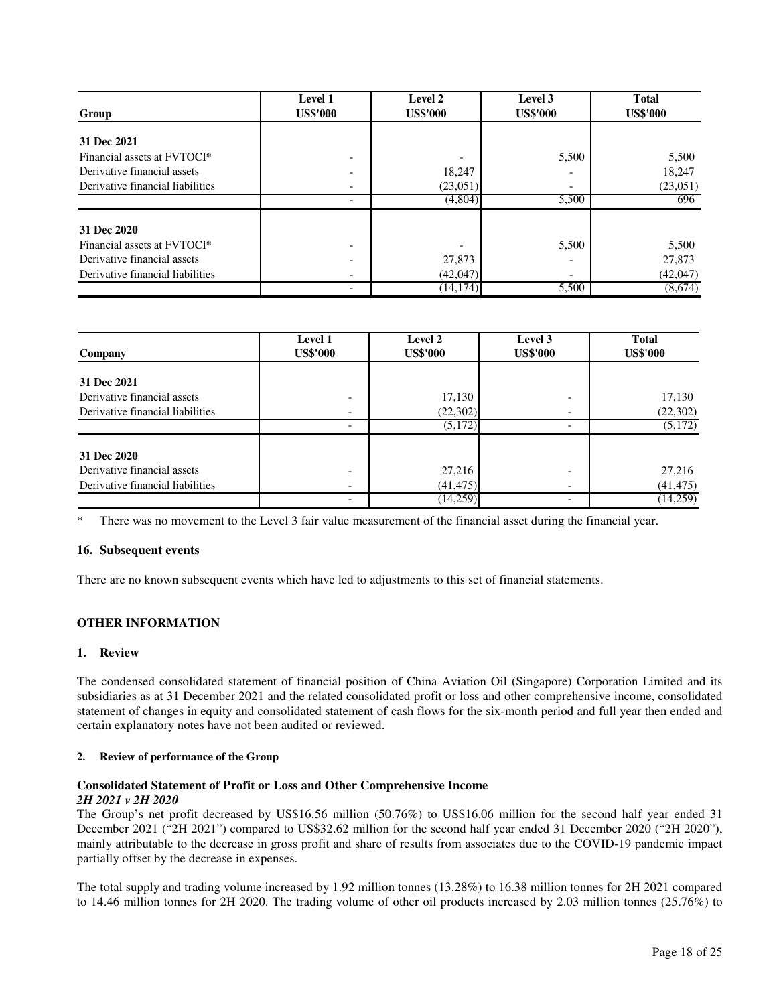| Group                                   | <b>Level 1</b><br><b>US\$'000</b> | Level 2<br><b>US\$'000</b> | Level 3<br><b>US\$'000</b> | <b>Total</b><br><b>US\$'000</b> |
|-----------------------------------------|-----------------------------------|----------------------------|----------------------------|---------------------------------|
|                                         |                                   |                            |                            |                                 |
| 31 Dec 2021                             |                                   |                            |                            |                                 |
| Financial assets at FVTOCI*             |                                   |                            | 5,500                      | 5,500                           |
| Derivative financial assets             |                                   | 18,247                     |                            | 18,247                          |
| Derivative financial liabilities        |                                   | (23,051)                   |                            | (23,051)                        |
|                                         |                                   | (4,804)                    | 5,500                      | 696                             |
| 31 Dec 2020                             |                                   |                            |                            |                                 |
| Financial assets at FVTOCI <sup>*</sup> |                                   |                            | 5,500                      | 5.500                           |
| Derivative financial assets             |                                   | 27,873                     |                            | 27,873                          |
| Derivative financial liabilities        |                                   | (42,047)                   |                            | (42,047)                        |
|                                         |                                   | $(14,\overline{174})$      | 5,500                      | (8,674)                         |

| Company                          | Level 1<br><b>US\$'000</b> | Level 2<br><b>US\$'000</b> | Level 3<br><b>US\$'000</b> | <b>Total</b><br><b>US\$'000</b> |
|----------------------------------|----------------------------|----------------------------|----------------------------|---------------------------------|
| 31 Dec 2021                      |                            |                            |                            |                                 |
| Derivative financial assets      |                            |                            |                            |                                 |
|                                  |                            | 17,130                     |                            | 17,130                          |
| Derivative financial liabilities |                            | (22, 302)                  |                            | (22, 302)                       |
|                                  |                            | (5,172)                    | -                          | (5,172)                         |
| 31 Dec 2020                      |                            |                            |                            |                                 |
| Derivative financial assets      | -                          | 27,216                     |                            | 27,216                          |
| Derivative financial liabilities |                            | (41, 475)                  |                            | (41, 475)                       |
|                                  |                            | (14, 259)                  |                            | (14,259)                        |

There was no movement to the Level 3 fair value measurement of the financial asset during the financial year.

#### **16. Subsequent events**

There are no known subsequent events which have led to adjustments to this set of financial statements.

#### **OTHER INFORMATION**

#### **1. Review**

The condensed consolidated statement of financial position of China Aviation Oil (Singapore) Corporation Limited and its subsidiaries as at 31 December 2021 and the related consolidated profit or loss and other comprehensive income, consolidated statement of changes in equity and consolidated statement of cash flows for the six-month period and full year then ended and certain explanatory notes have not been audited or reviewed.

#### **2. Review of performance of the Group**

#### **Consolidated Statement of Profit or Loss and Other Comprehensive Income**  *2H 2021 v 2H 2020*

The Group's net profit decreased by US\$16.56 million (50.76%) to US\$16.06 million for the second half year ended 31 December 2021 ("2H 2021") compared to US\$32.62 million for the second half year ended 31 December 2020 ("2H 2020"), mainly attributable to the decrease in gross profit and share of results from associates due to the COVID-19 pandemic impact partially offset by the decrease in expenses.

The total supply and trading volume increased by 1.92 million tonnes (13.28%) to 16.38 million tonnes for 2H 2021 compared to 14.46 million tonnes for 2H 2020. The trading volume of other oil products increased by 2.03 million tonnes (25.76%) to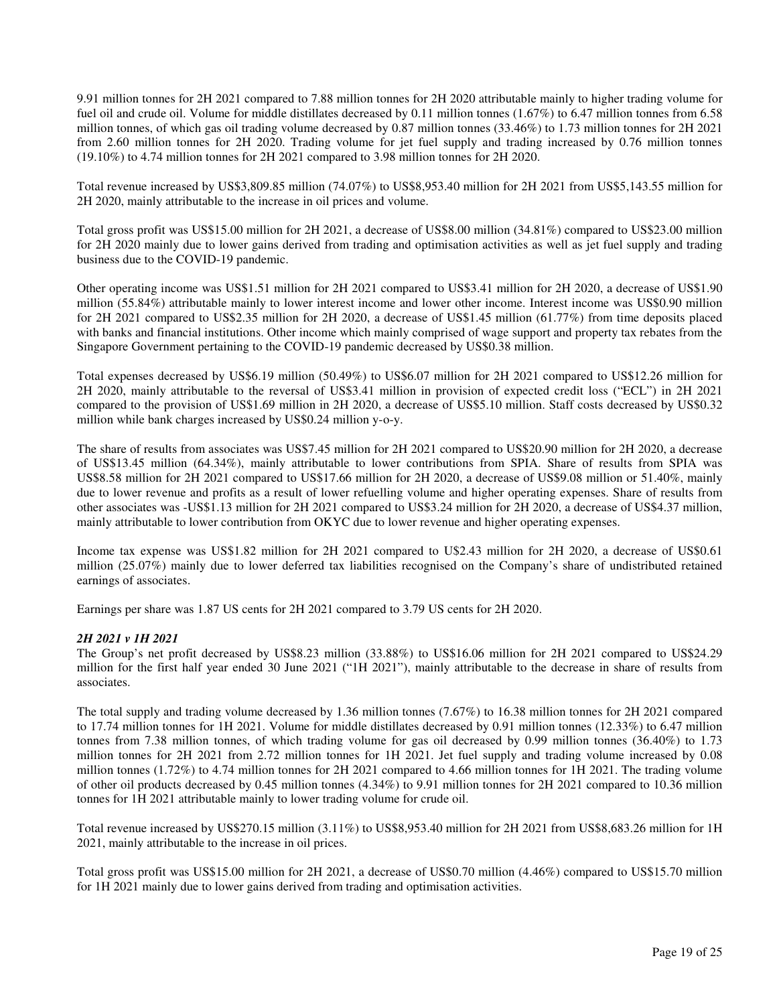9.91 million tonnes for 2H 2021 compared to 7.88 million tonnes for 2H 2020 attributable mainly to higher trading volume for fuel oil and crude oil. Volume for middle distillates decreased by 0.11 million tonnes (1.67%) to 6.47 million tonnes from 6.58 million tonnes, of which gas oil trading volume decreased by 0.87 million tonnes (33.46%) to 1.73 million tonnes for 2H 2021 from 2.60 million tonnes for 2H 2020. Trading volume for jet fuel supply and trading increased by 0.76 million tonnes (19.10%) to 4.74 million tonnes for 2H 2021 compared to 3.98 million tonnes for 2H 2020.

Total revenue increased by US\$3,809.85 million (74.07%) to US\$8,953.40 million for 2H 2021 from US\$5,143.55 million for 2H 2020, mainly attributable to the increase in oil prices and volume.

Total gross profit was US\$15.00 million for 2H 2021, a decrease of US\$8.00 million (34.81%) compared to US\$23.00 million for 2H 2020 mainly due to lower gains derived from trading and optimisation activities as well as jet fuel supply and trading business due to the COVID-19 pandemic.

Other operating income was US\$1.51 million for 2H 2021 compared to US\$3.41 million for 2H 2020, a decrease of US\$1.90 million (55.84%) attributable mainly to lower interest income and lower other income. Interest income was US\$0.90 million for 2H 2021 compared to US\$2.35 million for 2H 2020, a decrease of US\$1.45 million (61.77%) from time deposits placed with banks and financial institutions. Other income which mainly comprised of wage support and property tax rebates from the Singapore Government pertaining to the COVID-19 pandemic decreased by US\$0.38 million.

Total expenses decreased by US\$6.19 million (50.49%) to US\$6.07 million for 2H 2021 compared to US\$12.26 million for 2H 2020, mainly attributable to the reversal of US\$3.41 million in provision of expected credit loss ("ECL") in 2H 2021 compared to the provision of US\$1.69 million in 2H 2020, a decrease of US\$5.10 million. Staff costs decreased by US\$0.32 million while bank charges increased by US\$0.24 million y-o-y.

The share of results from associates was US\$7.45 million for 2H 2021 compared to US\$20.90 million for 2H 2020, a decrease of US\$13.45 million (64.34%), mainly attributable to lower contributions from SPIA. Share of results from SPIA was US\$8.58 million for 2H 2021 compared to US\$17.66 million for 2H 2020, a decrease of US\$9.08 million or 51.40%, mainly due to lower revenue and profits as a result of lower refuelling volume and higher operating expenses. Share of results from other associates was -US\$1.13 million for 2H 2021 compared to US\$3.24 million for 2H 2020, a decrease of US\$4.37 million, mainly attributable to lower contribution from OKYC due to lower revenue and higher operating expenses.

Income tax expense was US\$1.82 million for 2H 2021 compared to U\$2.43 million for 2H 2020, a decrease of US\$0.61 million (25.07%) mainly due to lower deferred tax liabilities recognised on the Company's share of undistributed retained earnings of associates.

Earnings per share was 1.87 US cents for 2H 2021 compared to 3.79 US cents for 2H 2020.

#### *2H 2021 v 1H 2021*

The Group's net profit decreased by US\$8.23 million (33.88%) to US\$16.06 million for 2H 2021 compared to US\$24.29 million for the first half year ended 30 June 2021 ("1H 2021"), mainly attributable to the decrease in share of results from associates.

The total supply and trading volume decreased by 1.36 million tonnes (7.67%) to 16.38 million tonnes for 2H 2021 compared to 17.74 million tonnes for 1H 2021. Volume for middle distillates decreased by 0.91 million tonnes (12.33%) to 6.47 million tonnes from 7.38 million tonnes, of which trading volume for gas oil decreased by 0.99 million tonnes (36.40%) to 1.73 million tonnes for 2H 2021 from 2.72 million tonnes for 1H 2021. Jet fuel supply and trading volume increased by 0.08 million tonnes (1.72%) to 4.74 million tonnes for 2H 2021 compared to 4.66 million tonnes for 1H 2021. The trading volume of other oil products decreased by 0.45 million tonnes (4.34%) to 9.91 million tonnes for 2H 2021 compared to 10.36 million tonnes for 1H 2021 attributable mainly to lower trading volume for crude oil.

Total revenue increased by US\$270.15 million (3.11%) to US\$8,953.40 million for 2H 2021 from US\$8,683.26 million for 1H 2021, mainly attributable to the increase in oil prices.

Total gross profit was US\$15.00 million for 2H 2021, a decrease of US\$0.70 million (4.46%) compared to US\$15.70 million for 1H 2021 mainly due to lower gains derived from trading and optimisation activities.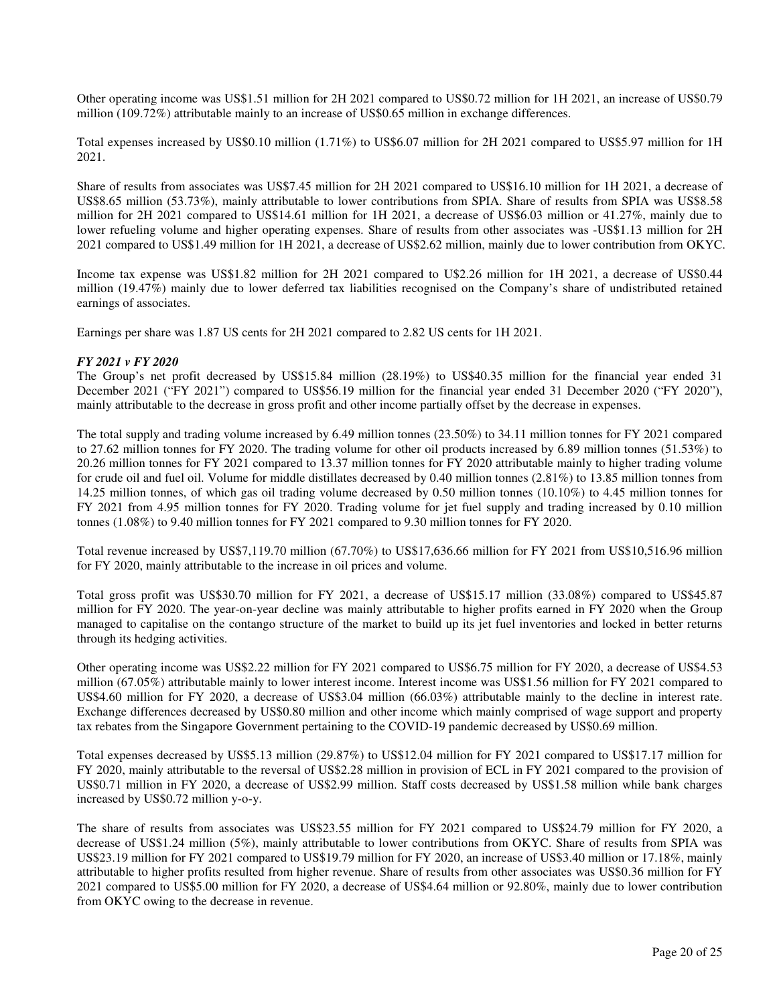Other operating income was US\$1.51 million for 2H 2021 compared to US\$0.72 million for 1H 2021, an increase of US\$0.79 million (109.72%) attributable mainly to an increase of US\$0.65 million in exchange differences.

Total expenses increased by US\$0.10 million (1.71%) to US\$6.07 million for 2H 2021 compared to US\$5.97 million for 1H 2021.

Share of results from associates was US\$7.45 million for 2H 2021 compared to US\$16.10 million for 1H 2021, a decrease of US\$8.65 million (53.73%), mainly attributable to lower contributions from SPIA. Share of results from SPIA was US\$8.58 million for 2H 2021 compared to US\$14.61 million for 1H 2021, a decrease of US\$6.03 million or 41.27%, mainly due to lower refueling volume and higher operating expenses. Share of results from other associates was -US\$1.13 million for 2H 2021 compared to US\$1.49 million for 1H 2021, a decrease of US\$2.62 million, mainly due to lower contribution from OKYC.

Income tax expense was US\$1.82 million for 2H 2021 compared to U\$2.26 million for 1H 2021, a decrease of US\$0.44 million (19.47%) mainly due to lower deferred tax liabilities recognised on the Company's share of undistributed retained earnings of associates.

Earnings per share was 1.87 US cents for 2H 2021 compared to 2.82 US cents for 1H 2021.

#### *FY 2021 v FY 2020*

The Group's net profit decreased by US\$15.84 million (28.19%) to US\$40.35 million for the financial year ended 31 December 2021 ("FY 2021") compared to US\$56.19 million for the financial year ended 31 December 2020 ("FY 2020"), mainly attributable to the decrease in gross profit and other income partially offset by the decrease in expenses.

The total supply and trading volume increased by 6.49 million tonnes (23.50%) to 34.11 million tonnes for FY 2021 compared to 27.62 million tonnes for FY 2020. The trading volume for other oil products increased by 6.89 million tonnes (51.53%) to 20.26 million tonnes for FY 2021 compared to 13.37 million tonnes for FY 2020 attributable mainly to higher trading volume for crude oil and fuel oil. Volume for middle distillates decreased by 0.40 million tonnes (2.81%) to 13.85 million tonnes from 14.25 million tonnes, of which gas oil trading volume decreased by 0.50 million tonnes (10.10%) to 4.45 million tonnes for FY 2021 from 4.95 million tonnes for FY 2020. Trading volume for jet fuel supply and trading increased by 0.10 million tonnes (1.08%) to 9.40 million tonnes for FY 2021 compared to 9.30 million tonnes for FY 2020.

Total revenue increased by US\$7,119.70 million (67.70%) to US\$17,636.66 million for FY 2021 from US\$10,516.96 million for FY 2020, mainly attributable to the increase in oil prices and volume.

Total gross profit was US\$30.70 million for FY 2021, a decrease of US\$15.17 million (33.08%) compared to US\$45.87 million for FY 2020. The year-on-year decline was mainly attributable to higher profits earned in FY 2020 when the Group managed to capitalise on the contango structure of the market to build up its jet fuel inventories and locked in better returns through its hedging activities.

Other operating income was US\$2.22 million for FY 2021 compared to US\$6.75 million for FY 2020, a decrease of US\$4.53 million (67.05%) attributable mainly to lower interest income. Interest income was US\$1.56 million for FY 2021 compared to US\$4.60 million for FY 2020, a decrease of US\$3.04 million (66.03%) attributable mainly to the decline in interest rate. Exchange differences decreased by US\$0.80 million and other income which mainly comprised of wage support and property tax rebates from the Singapore Government pertaining to the COVID-19 pandemic decreased by US\$0.69 million.

Total expenses decreased by US\$5.13 million (29.87%) to US\$12.04 million for FY 2021 compared to US\$17.17 million for FY 2020, mainly attributable to the reversal of US\$2.28 million in provision of ECL in FY 2021 compared to the provision of US\$0.71 million in FY 2020, a decrease of US\$2.99 million. Staff costs decreased by US\$1.58 million while bank charges increased by US\$0.72 million y-o-y.

The share of results from associates was US\$23.55 million for FY 2021 compared to US\$24.79 million for FY 2020, a decrease of US\$1.24 million (5%), mainly attributable to lower contributions from OKYC. Share of results from SPIA was US\$23.19 million for FY 2021 compared to US\$19.79 million for FY 2020, an increase of US\$3.40 million or 17.18%, mainly attributable to higher profits resulted from higher revenue. Share of results from other associates was US\$0.36 million for FY 2021 compared to US\$5.00 million for FY 2020, a decrease of US\$4.64 million or 92.80%, mainly due to lower contribution from OKYC owing to the decrease in revenue.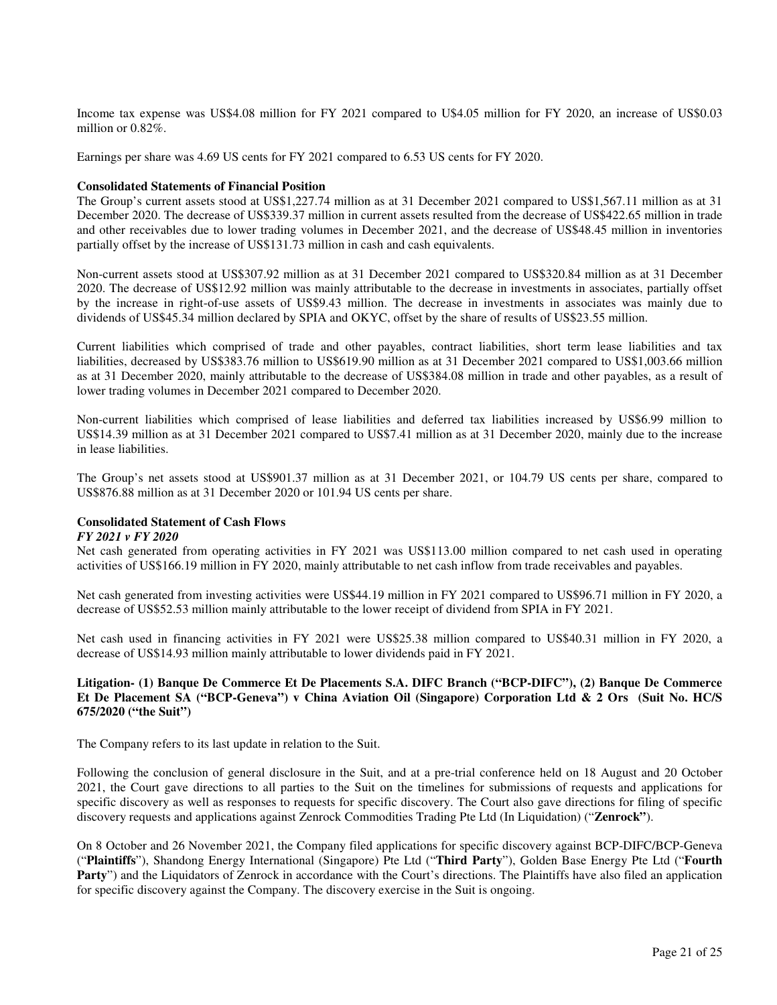Income tax expense was US\$4.08 million for FY 2021 compared to U\$4.05 million for FY 2020, an increase of US\$0.03 million or 0.82%.

Earnings per share was 4.69 US cents for FY 2021 compared to 6.53 US cents for FY 2020.

#### **Consolidated Statements of Financial Position**

The Group's current assets stood at US\$1,227.74 million as at 31 December 2021 compared to US\$1,567.11 million as at 31 December 2020. The decrease of US\$339.37 million in current assets resulted from the decrease of US\$422.65 million in trade and other receivables due to lower trading volumes in December 2021, and the decrease of US\$48.45 million in inventories partially offset by the increase of US\$131.73 million in cash and cash equivalents.

Non-current assets stood at US\$307.92 million as at 31 December 2021 compared to US\$320.84 million as at 31 December 2020. The decrease of US\$12.92 million was mainly attributable to the decrease in investments in associates, partially offset by the increase in right-of-use assets of US\$9.43 million. The decrease in investments in associates was mainly due to dividends of US\$45.34 million declared by SPIA and OKYC, offset by the share of results of US\$23.55 million.

Current liabilities which comprised of trade and other payables, contract liabilities, short term lease liabilities and tax liabilities, decreased by US\$383.76 million to US\$619.90 million as at 31 December 2021 compared to US\$1,003.66 million as at 31 December 2020, mainly attributable to the decrease of US\$384.08 million in trade and other payables, as a result of lower trading volumes in December 2021 compared to December 2020.

Non-current liabilities which comprised of lease liabilities and deferred tax liabilities increased by US\$6.99 million to US\$14.39 million as at 31 December 2021 compared to US\$7.41 million as at 31 December 2020, mainly due to the increase in lease liabilities.

The Group's net assets stood at US\$901.37 million as at 31 December 2021, or 104.79 US cents per share, compared to US\$876.88 million as at 31 December 2020 or 101.94 US cents per share.

#### **Consolidated Statement of Cash Flows**

#### *FY 2021 v FY 2020*

Net cash generated from operating activities in FY 2021 was US\$113.00 million compared to net cash used in operating activities of US\$166.19 million in FY 2020, mainly attributable to net cash inflow from trade receivables and payables.

Net cash generated from investing activities were US\$44.19 million in FY 2021 compared to US\$96.71 million in FY 2020, a decrease of US\$52.53 million mainly attributable to the lower receipt of dividend from SPIA in FY 2021.

Net cash used in financing activities in FY 2021 were US\$25.38 million compared to US\$40.31 million in FY 2020, a decrease of US\$14.93 million mainly attributable to lower dividends paid in FY 2021.

#### **Litigation- (1) Banque De Commerce Et De Placements S.A. DIFC Branch ("BCP-DIFC"), (2) Banque De Commerce Et De Placement SA ("BCP-Geneva") v China Aviation Oil (Singapore) Corporation Ltd & 2 Ors (Suit No. HC/S 675/2020 ("the Suit")**

The Company refers to its last update in relation to the Suit.

Following the conclusion of general disclosure in the Suit, and at a pre-trial conference held on 18 August and 20 October 2021, the Court gave directions to all parties to the Suit on the timelines for submissions of requests and applications for specific discovery as well as responses to requests for specific discovery. The Court also gave directions for filing of specific discovery requests and applications against Zenrock Commodities Trading Pte Ltd (In Liquidation) ("**Zenrock"**).

On 8 October and 26 November 2021, the Company filed applications for specific discovery against BCP-DIFC/BCP-Geneva ("**Plaintiffs**"), Shandong Energy International (Singapore) Pte Ltd ("**Third Party**"), Golden Base Energy Pte Ltd ("**Fourth Party**") and the Liquidators of Zenrock in accordance with the Court's directions. The Plaintiffs have also filed an application for specific discovery against the Company. The discovery exercise in the Suit is ongoing.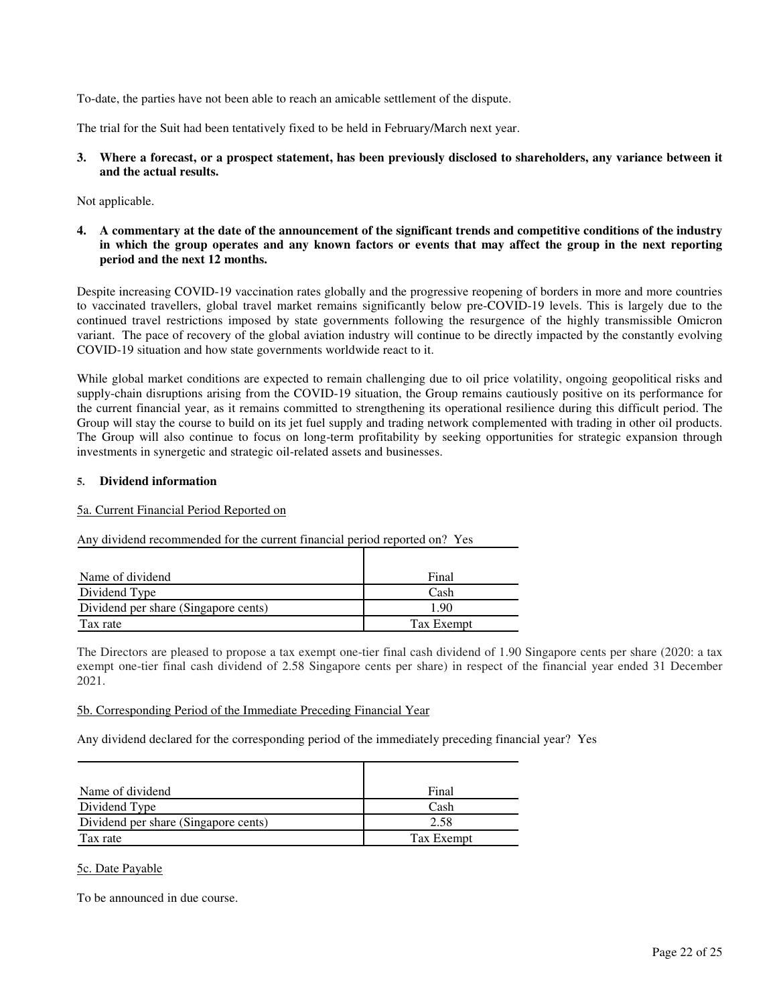To-date, the parties have not been able to reach an amicable settlement of the dispute.

The trial for the Suit had been tentatively fixed to be held in February/March next year.

**3. Where a forecast, or a prospect statement, has been previously disclosed to shareholders, any variance between it and the actual results.** 

Not applicable.

**4. A commentary at the date of the announcement of the significant trends and competitive conditions of the industry in which the group operates and any known factors or events that may affect the group in the next reporting period and the next 12 months.** 

Despite increasing COVID-19 vaccination rates globally and the progressive reopening of borders in more and more countries to vaccinated travellers, global travel market remains significantly below pre-COVID-19 levels. This is largely due to the continued travel restrictions imposed by state governments following the resurgence of the highly transmissible Omicron variant. The pace of recovery of the global aviation industry will continue to be directly impacted by the constantly evolving COVID-19 situation and how state governments worldwide react to it.

While global market conditions are expected to remain challenging due to oil price volatility, ongoing geopolitical risks and supply-chain disruptions arising from the COVID-19 situation, the Group remains cautiously positive on its performance for the current financial year, as it remains committed to strengthening its operational resilience during this difficult period. The Group will stay the course to build on its jet fuel supply and trading network complemented with trading in other oil products. The Group will also continue to focus on long-term profitability by seeking opportunities for strategic expansion through investments in synergetic and strategic oil-related assets and businesses.

#### **5. Dividend information**

#### 5a. Current Financial Period Reported on

Any dividend recommended for the current financial period reported on? Yes

| Name of dividend                     | Final      |
|--------------------------------------|------------|
| Dividend Type                        | Cash       |
| Dividend per share (Singapore cents) | 190        |
| Tax rate                             | Tax Exempt |

The Directors are pleased to propose a tax exempt one-tier final cash dividend of 1.90 Singapore cents per share (2020: a tax exempt one-tier final cash dividend of 2.58 Singapore cents per share) in respect of the financial year ended 31 December 2021.

#### 5b. Corresponding Period of the Immediate Preceding Financial Year

Any dividend declared for the corresponding period of the immediately preceding financial year? Yes

| Name of dividend                     | Final      |
|--------------------------------------|------------|
| Dividend Type                        | Cash       |
| Dividend per share (Singapore cents) | 2.58       |
| Tax rate                             | Tax Exempt |

#### 5c. Date Payable

To be announced in due course.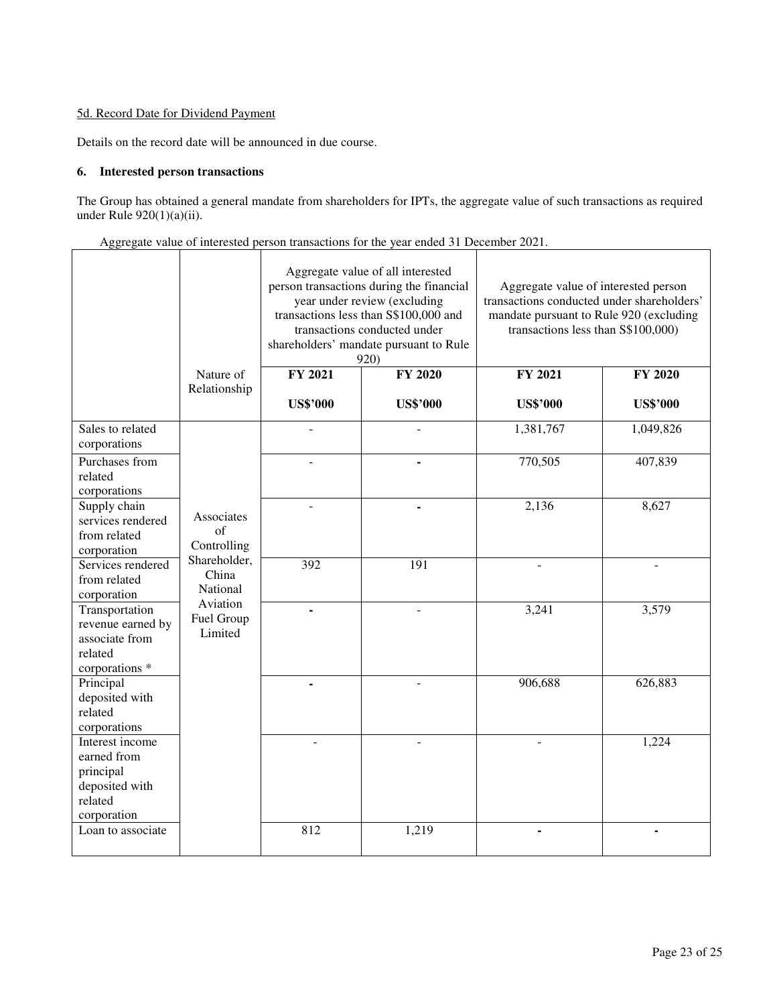### 5d. Record Date for Dividend Payment

Details on the record date will be announced in due course.

### **6. Interested person transactions**

 $\blacksquare$ 

The Group has obtained a general mandate from shareholders for IPTs, the aggregate value of such transactions as required under Rule 920(1)(a)(ii).

|  | Aggregate value of interested person transactions for the year ended 31 December 2021. |  |
|--|----------------------------------------------------------------------------------------|--|
|  |                                                                                        |  |

|                                                                                         |                                                                                                           | Aggregate value of all interested<br>person transactions during the financial<br>year under review (excluding<br>transactions less than S\$100,000 and<br>transactions conducted under<br>shareholders' mandate pursuant to Rule<br>920) |                 | Aggregate value of interested person<br>transactions conducted under shareholders'<br>mandate pursuant to Rule 920 (excluding<br>transactions less than S\$100,000) |                 |
|-----------------------------------------------------------------------------------------|-----------------------------------------------------------------------------------------------------------|------------------------------------------------------------------------------------------------------------------------------------------------------------------------------------------------------------------------------------------|-----------------|---------------------------------------------------------------------------------------------------------------------------------------------------------------------|-----------------|
|                                                                                         | Nature of<br>Relationship                                                                                 | <b>FY 2021</b>                                                                                                                                                                                                                           | <b>FY 2020</b>  | FY 2021                                                                                                                                                             | <b>FY 2020</b>  |
|                                                                                         |                                                                                                           | <b>US\$'000</b>                                                                                                                                                                                                                          | <b>US\$'000</b> | <b>US\$'000</b>                                                                                                                                                     | <b>US\$'000</b> |
| Sales to related<br>corporations                                                        |                                                                                                           |                                                                                                                                                                                                                                          |                 | 1,381,767                                                                                                                                                           | 1,049,826       |
| Purchases from<br>related<br>corporations                                               | Associates<br>of<br>Controlling<br>Shareholder,<br>China<br>National<br>Aviation<br>Fuel Group<br>Limited |                                                                                                                                                                                                                                          |                 | 770,505                                                                                                                                                             | 407,839         |
| Supply chain<br>services rendered<br>from related<br>corporation                        |                                                                                                           |                                                                                                                                                                                                                                          |                 | 2,136                                                                                                                                                               | 8,627           |
| Services rendered<br>from related<br>corporation                                        |                                                                                                           | 392                                                                                                                                                                                                                                      | 191             |                                                                                                                                                                     |                 |
| Transportation<br>revenue earned by<br>associate from<br>related<br>corporations *      |                                                                                                           | ä,                                                                                                                                                                                                                                       | $\overline{a}$  | 3,241                                                                                                                                                               | 3,579           |
| Principal<br>deposited with<br>related<br>corporations                                  |                                                                                                           |                                                                                                                                                                                                                                          |                 | 906,688                                                                                                                                                             | 626,883         |
| Interest income<br>earned from<br>principal<br>deposited with<br>related<br>corporation |                                                                                                           |                                                                                                                                                                                                                                          |                 |                                                                                                                                                                     | 1,224           |
| Loan to associate                                                                       |                                                                                                           | 812                                                                                                                                                                                                                                      | 1,219           |                                                                                                                                                                     |                 |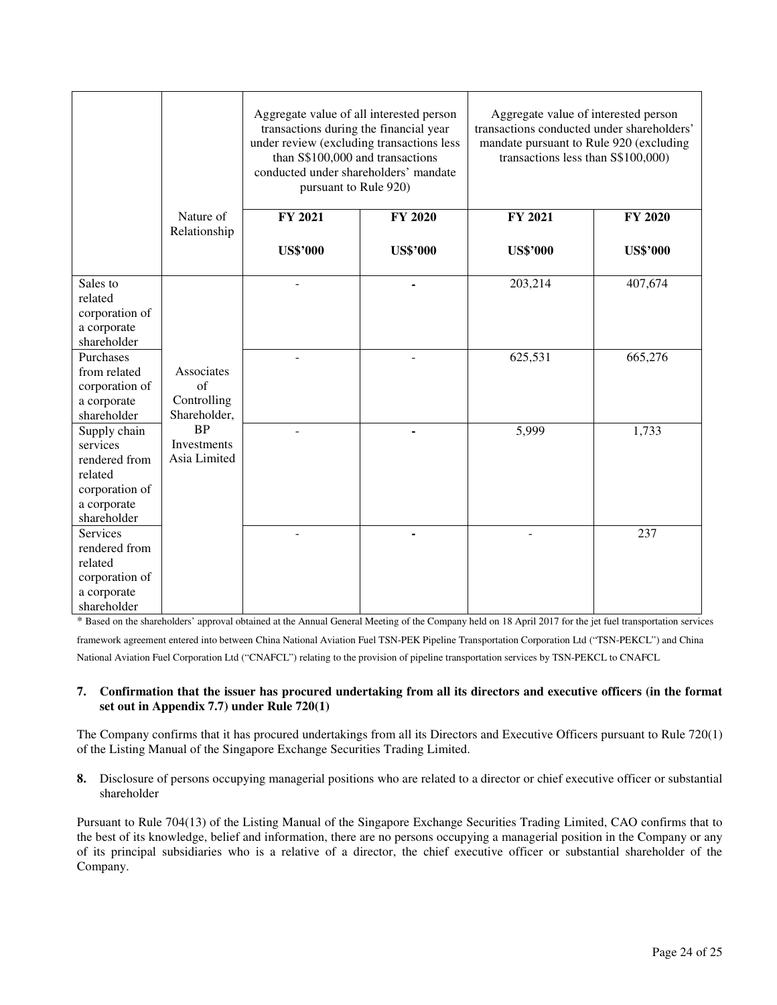|                           |              | Aggregate value of all interested person<br>transactions during the financial year<br>under review (excluding transactions less<br>than S\$100,000 and transactions<br>conducted under shareholders' mandate<br>pursuant to Rule 920) |                 | Aggregate value of interested person<br>transactions conducted under shareholders'<br>mandate pursuant to Rule 920 (excluding<br>transactions less than S\$100,000) |                 |
|---------------------------|--------------|---------------------------------------------------------------------------------------------------------------------------------------------------------------------------------------------------------------------------------------|-----------------|---------------------------------------------------------------------------------------------------------------------------------------------------------------------|-----------------|
|                           | Nature of    | FY 2021                                                                                                                                                                                                                               | <b>FY 2020</b>  | FY 2021                                                                                                                                                             | <b>FY 2020</b>  |
|                           | Relationship | <b>US\$'000</b>                                                                                                                                                                                                                       | <b>US\$'000</b> | <b>US\$'000</b>                                                                                                                                                     | <b>US\$'000</b> |
| Sales to                  |              |                                                                                                                                                                                                                                       |                 | 203,214                                                                                                                                                             | 407,674         |
| related                   |              |                                                                                                                                                                                                                                       |                 |                                                                                                                                                                     |                 |
| corporation of            |              |                                                                                                                                                                                                                                       |                 |                                                                                                                                                                     |                 |
| a corporate               |              |                                                                                                                                                                                                                                       |                 |                                                                                                                                                                     |                 |
| shareholder               |              |                                                                                                                                                                                                                                       |                 |                                                                                                                                                                     |                 |
| Purchases<br>from related | Associates   |                                                                                                                                                                                                                                       |                 | 625,531                                                                                                                                                             | 665,276         |
| corporation of            | of           |                                                                                                                                                                                                                                       |                 |                                                                                                                                                                     |                 |
| a corporate               | Controlling  |                                                                                                                                                                                                                                       |                 |                                                                                                                                                                     |                 |
| shareholder               | Shareholder, |                                                                                                                                                                                                                                       |                 |                                                                                                                                                                     |                 |
| Supply chain              | <b>BP</b>    |                                                                                                                                                                                                                                       |                 | 5,999                                                                                                                                                               | 1,733           |
| services                  | Investments  |                                                                                                                                                                                                                                       |                 |                                                                                                                                                                     |                 |
| rendered from             | Asia Limited |                                                                                                                                                                                                                                       |                 |                                                                                                                                                                     |                 |
| related                   |              |                                                                                                                                                                                                                                       |                 |                                                                                                                                                                     |                 |
| corporation of            |              |                                                                                                                                                                                                                                       |                 |                                                                                                                                                                     |                 |
| a corporate               |              |                                                                                                                                                                                                                                       |                 |                                                                                                                                                                     |                 |
| shareholder               |              |                                                                                                                                                                                                                                       |                 |                                                                                                                                                                     |                 |
| <b>Services</b>           |              |                                                                                                                                                                                                                                       |                 |                                                                                                                                                                     | 237             |
| rendered from             |              |                                                                                                                                                                                                                                       |                 |                                                                                                                                                                     |                 |
| related                   |              |                                                                                                                                                                                                                                       |                 |                                                                                                                                                                     |                 |
| corporation of            |              |                                                                                                                                                                                                                                       |                 |                                                                                                                                                                     |                 |
| a corporate               |              |                                                                                                                                                                                                                                       |                 |                                                                                                                                                                     |                 |
| shareholder               |              |                                                                                                                                                                                                                                       |                 |                                                                                                                                                                     |                 |

\* Based on the shareholders' approval obtained at the Annual General Meeting of the Company held on 18 April 2017 for the jet fuel transportation services

framework agreement entered into between China National Aviation Fuel TSN-PEK Pipeline Transportation Corporation Ltd ("TSN-PEKCL") and China National Aviation Fuel Corporation Ltd ("CNAFCL") relating to the provision of pipeline transportation services by TSN-PEKCL to CNAFCL

#### **7. Confirmation that the issuer has procured undertaking from all its directors and executive officers (in the format set out in Appendix 7.7) under Rule 720(1)**

The Company confirms that it has procured undertakings from all its Directors and Executive Officers pursuant to Rule 720(1) of the Listing Manual of the Singapore Exchange Securities Trading Limited.

**8.** Disclosure of persons occupying managerial positions who are related to a director or chief executive officer or substantial shareholder

Pursuant to Rule 704(13) of the Listing Manual of the Singapore Exchange Securities Trading Limited, CAO confirms that to the best of its knowledge, belief and information, there are no persons occupying a managerial position in the Company or any of its principal subsidiaries who is a relative of a director, the chief executive officer or substantial shareholder of the Company.